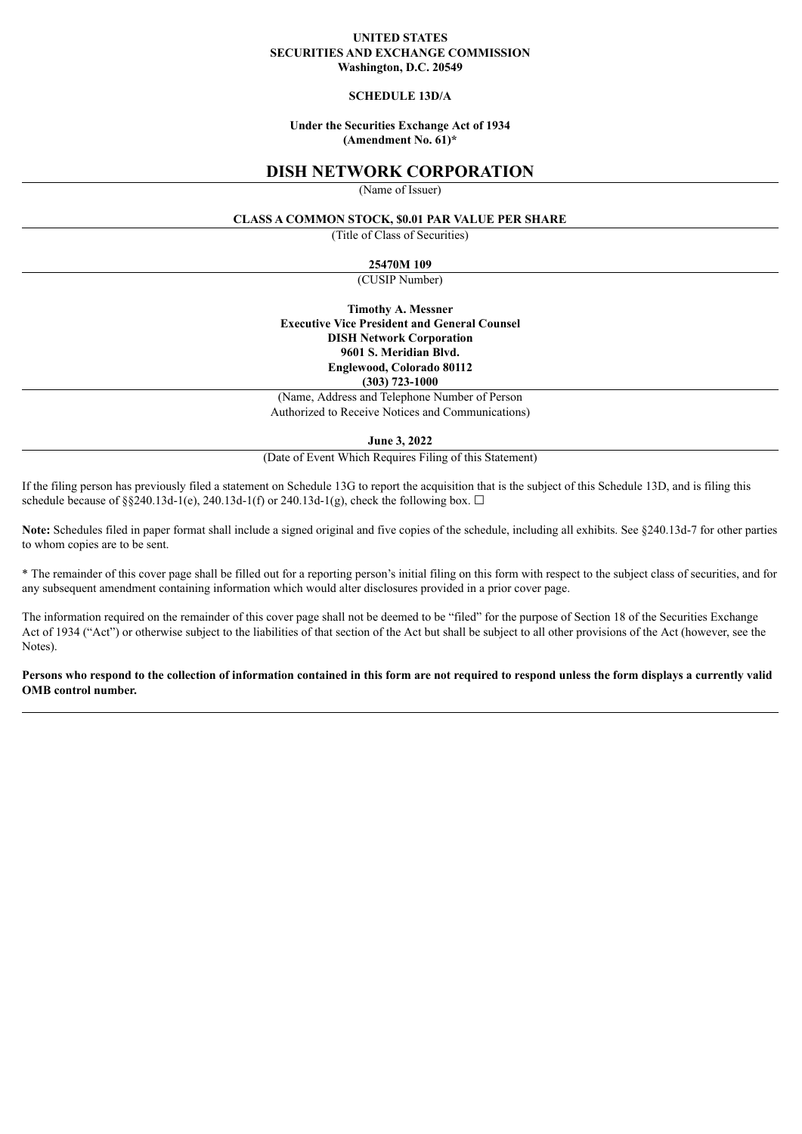#### **UNITED STATES SECURITIES AND EXCHANGE COMMISSION Washington, D.C. 20549**

## **SCHEDULE 13D/A**

### **Under the Securities Exchange Act of 1934 (Amendment No. 61)\***

## **DISH NETWORK CORPORATION**

(Name of Issuer)

#### **CLASS A COMMON STOCK, \$0.01 PAR VALUE PER SHARE**

(Title of Class of Securities)

#### **25470M 109**

(CUSIP Number)

**Timothy A. Messner Executive Vice President and General Counsel DISH Network Corporation 9601 S. Meridian Blvd. Englewood, Colorado 80112 (303) 723-1000**

(Name, Address and Telephone Number of Person Authorized to Receive Notices and Communications)

**June 3, 2022**

(Date of Event Which Requires Filing of this Statement)

If the filing person has previously filed a statement on Schedule 13G to report the acquisition that is the subject of this Schedule 13D, and is filing this schedule because of §§240.13d-1(e), 240.13d-1(f) or 240.13d-1(g), check the following box.  $\Box$ 

**Note:** Schedules filed in paper format shall include a signed original and five copies of the schedule, including all exhibits. See §240.13d-7 for other parties to whom copies are to be sent.

\* The remainder of this cover page shall be filled out for a reporting person's initial filing on this form with respect to the subject class of securities, and for any subsequent amendment containing information which would alter disclosures provided in a prior cover page.

The information required on the remainder of this cover page shall not be deemed to be "filed" for the purpose of Section 18 of the Securities Exchange Act of 1934 ("Act") or otherwise subject to the liabilities of that section of the Act but shall be subject to all other provisions of the Act (however, see the Notes).

#### Persons who respond to the collection of information contained in this form are not required to respond unless the form displays a currently valid **OMB control number.**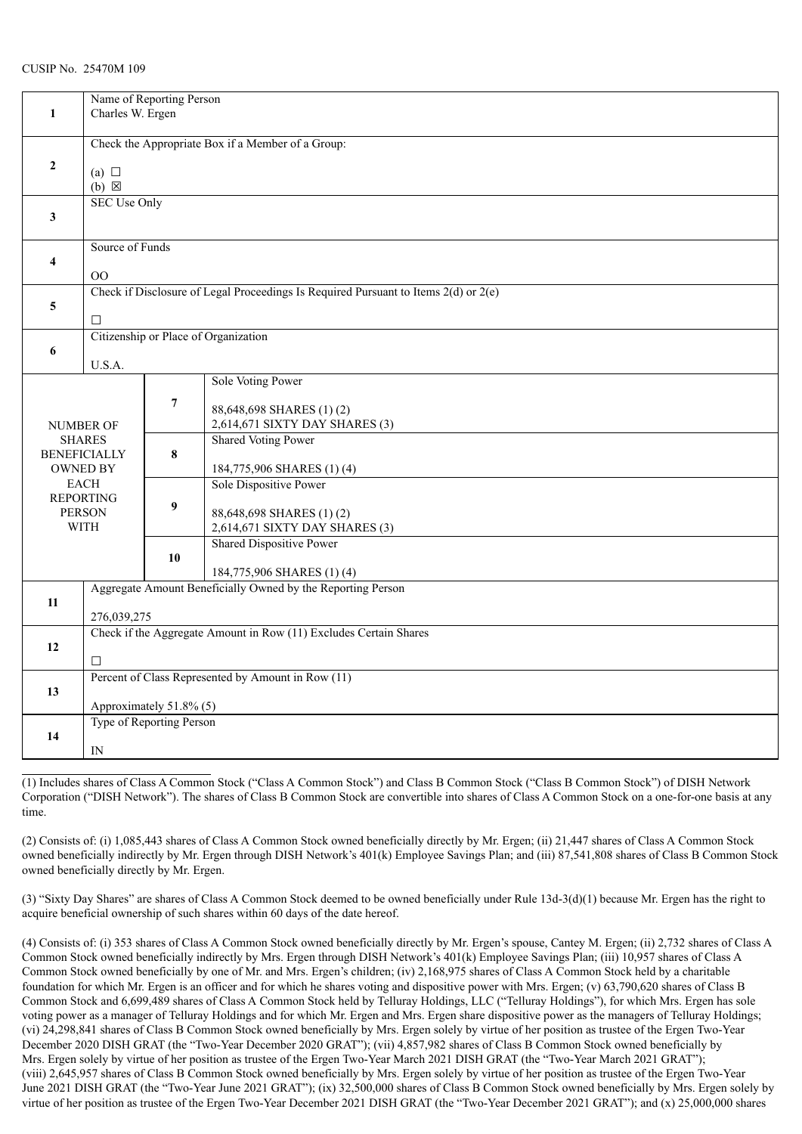|                     | Name of Reporting Person<br>Charles W. Ergen                      |                          |                                                                                         |  |  |  |
|---------------------|-------------------------------------------------------------------|--------------------------|-----------------------------------------------------------------------------------------|--|--|--|
| $\mathbf{1}$        |                                                                   |                          |                                                                                         |  |  |  |
|                     |                                                                   |                          |                                                                                         |  |  |  |
|                     | Check the Appropriate Box if a Member of a Group:                 |                          |                                                                                         |  |  |  |
| $\mathbf{2}$        |                                                                   |                          |                                                                                         |  |  |  |
|                     | (a) $\Box$<br>$(b) \boxtimes$                                     |                          |                                                                                         |  |  |  |
|                     |                                                                   | <b>SEC Use Only</b>      |                                                                                         |  |  |  |
| 3                   |                                                                   |                          |                                                                                         |  |  |  |
|                     |                                                                   |                          |                                                                                         |  |  |  |
|                     |                                                                   | Source of Funds          |                                                                                         |  |  |  |
| 4                   |                                                                   |                          |                                                                                         |  |  |  |
|                     | OO                                                                |                          |                                                                                         |  |  |  |
|                     |                                                                   |                          | Check if Disclosure of Legal Proceedings Is Required Pursuant to Items $2(d)$ or $2(e)$ |  |  |  |
| 5                   |                                                                   |                          |                                                                                         |  |  |  |
|                     | $\Box$                                                            |                          |                                                                                         |  |  |  |
|                     |                                                                   |                          | Citizenship or Place of Organization                                                    |  |  |  |
| 6                   |                                                                   |                          |                                                                                         |  |  |  |
|                     | U.S.A.                                                            |                          | Sole Voting Power                                                                       |  |  |  |
|                     |                                                                   |                          |                                                                                         |  |  |  |
|                     |                                                                   | $\overline{\mathcal{I}}$ | 88,648,698 SHARES (1)(2)                                                                |  |  |  |
|                     | NUMBER OF                                                         |                          | 2,614,671 SIXTY DAY SHARES (3)                                                          |  |  |  |
|                     | <b>SHARES</b>                                                     |                          | <b>Shared Voting Power</b>                                                              |  |  |  |
| <b>BENEFICIALLY</b> |                                                                   | 8                        |                                                                                         |  |  |  |
| <b>OWNED BY</b>     |                                                                   |                          | 184,775,906 SHARES (1)(4)                                                               |  |  |  |
|                     | <b>EACH</b>                                                       |                          | Sole Dispositive Power                                                                  |  |  |  |
|                     | <b>REPORTING</b>                                                  | 9                        |                                                                                         |  |  |  |
|                     | <b>PERSON</b>                                                     |                          | 88,648,698 SHARES (1)(2)                                                                |  |  |  |
|                     | <b>WITH</b>                                                       |                          | 2,614,671 SIXTY DAY SHARES (3)                                                          |  |  |  |
|                     |                                                                   |                          | <b>Shared Dispositive Power</b>                                                         |  |  |  |
|                     |                                                                   | 10                       |                                                                                         |  |  |  |
|                     |                                                                   |                          | 184,775,906 SHARES (1)(4)                                                               |  |  |  |
| 11                  | Aggregate Amount Beneficially Owned by the Reporting Person       |                          |                                                                                         |  |  |  |
|                     | 276,039,275                                                       |                          |                                                                                         |  |  |  |
|                     | Check if the Aggregate Amount in Row (11) Excludes Certain Shares |                          |                                                                                         |  |  |  |
| 12                  |                                                                   |                          |                                                                                         |  |  |  |
|                     | □                                                                 |                          |                                                                                         |  |  |  |
|                     | Percent of Class Represented by Amount in Row (11)                |                          |                                                                                         |  |  |  |
| 13                  |                                                                   |                          |                                                                                         |  |  |  |
|                     | Approximately 51.8% (5)                                           |                          |                                                                                         |  |  |  |
|                     | Type of Reporting Person                                          |                          |                                                                                         |  |  |  |
| 14                  |                                                                   |                          |                                                                                         |  |  |  |
|                     | $_{\rm IN}$                                                       |                          |                                                                                         |  |  |  |

(1) Includes shares of Class A Common Stock ("Class A Common Stock") and Class B Common Stock ("Class B Common Stock") of DISH Network Corporation ("DISH Network"). The shares of Class B Common Stock are convertible into shares of Class A Common Stock on a one-for-one basis at any time.

(2) Consists of: (i) 1,085,443 shares of Class A Common Stock owned beneficially directly by Mr. Ergen; (ii) 21,447 shares of Class A Common Stock owned beneficially indirectly by Mr. Ergen through DISH Network's 401(k) Employee Savings Plan; and (iii) 87,541,808 shares of Class B Common Stock owned beneficially directly by Mr. Ergen.

(3) "Sixty Day Shares" are shares of Class A Common Stock deemed to be owned beneficially under Rule 13d-3(d)(1) because Mr. Ergen has the right to acquire beneficial ownership of such shares within 60 days of the date hereof.

(4) Consists of: (i) 353 shares of Class A Common Stock owned beneficially directly by Mr. Ergen's spouse, Cantey M. Ergen; (ii) 2,732 shares of Class A Common Stock owned beneficially indirectly by Mrs. Ergen through DISH Network's 401(k) Employee Savings Plan; (iii) 10,957 shares of Class A Common Stock owned beneficially by one of Mr. and Mrs. Ergen's children; (iv) 2,168,975 shares of Class A Common Stock held by a charitable foundation for which Mr. Ergen is an officer and for which he shares voting and dispositive power with Mrs. Ergen; (v) 63,790,620 shares of Class B Common Stock and 6,699,489 shares of Class A Common Stock held by Telluray Holdings, LLC ("Telluray Holdings"), for which Mrs. Ergen has sole voting power as a manager of Telluray Holdings and for which Mr. Ergen and Mrs. Ergen share dispositive power as the managers of Telluray Holdings; (vi) 24,298,841 shares of Class B Common Stock owned beneficially by Mrs. Ergen solely by virtue of her position as trustee of the Ergen Two-Year December 2020 DISH GRAT (the "Two-Year December 2020 GRAT"); (vii) 4,857,982 shares of Class B Common Stock owned beneficially by Mrs. Ergen solely by virtue of her position as trustee of the Ergen Two-Year March 2021 DISH GRAT (the "Two-Year March 2021 GRAT"); (viii) 2,645,957 shares of Class B Common Stock owned beneficially by Mrs. Ergen solely by virtue of her position as trustee of the Ergen Two-Year June 2021 DISH GRAT (the "Two-Year June 2021 GRAT"); (ix) 32,500,000 shares of Class B Common Stock owned beneficially by Mrs. Ergen solely by virtue of her position as trustee of the Ergen Two-Year December 2021 DISH GRAT (the "Two-Year December 2021 GRAT"); and (x) 25,000,000 shares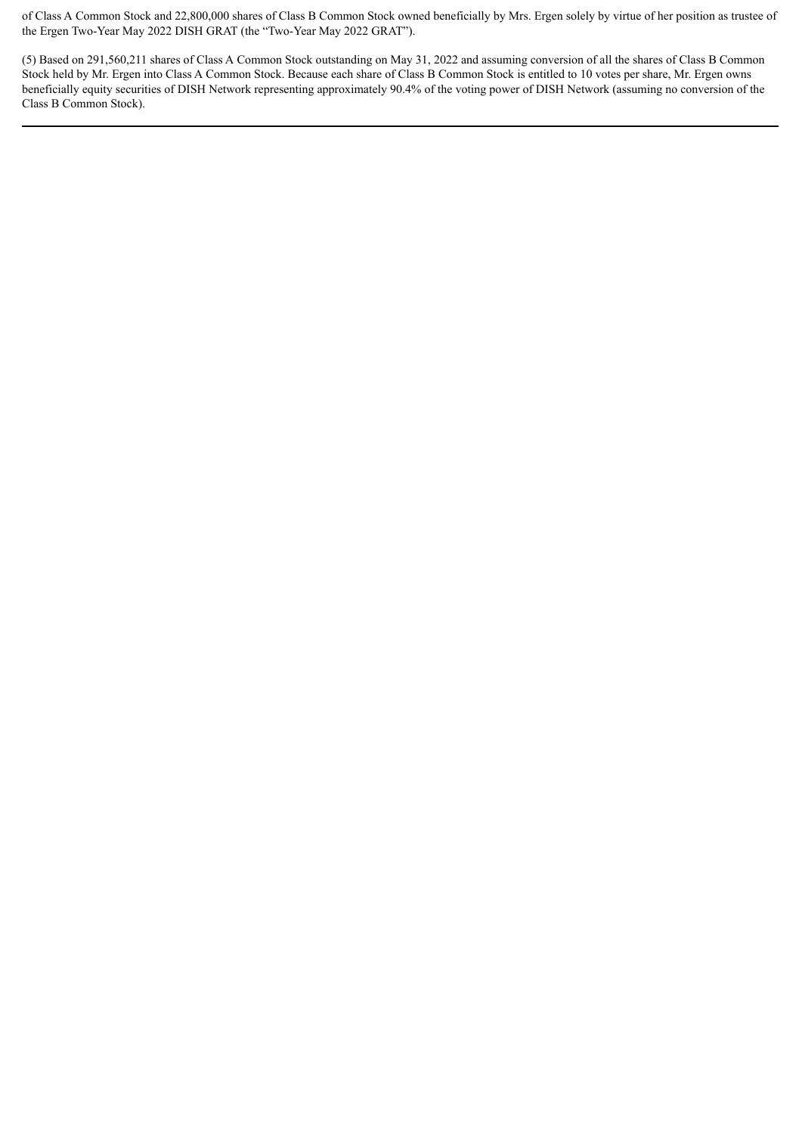of Class A Common Stock and 22,800,000 shares of Class B Common Stock owned beneficially by Mrs. Ergen solely by virtue of her position as trustee of the Ergen Two-Year May 2022 DISH GRAT (the "Two-Year May 2022 GRAT").

(5) Based on 291,560,211 shares of Class A Common Stock outstanding on May 31, 2022 and assuming conversion of all the shares of Class B Common Stock held by Mr. Ergen into Class A Common Stock. Because each share of Class B Common Stock is entitled to 10 votes per share, Mr. Ergen owns beneficially equity securities of DISH Network representing approximately 90.4% of the voting power of DISH Network (assuming no conversion of the Class B Common Stock).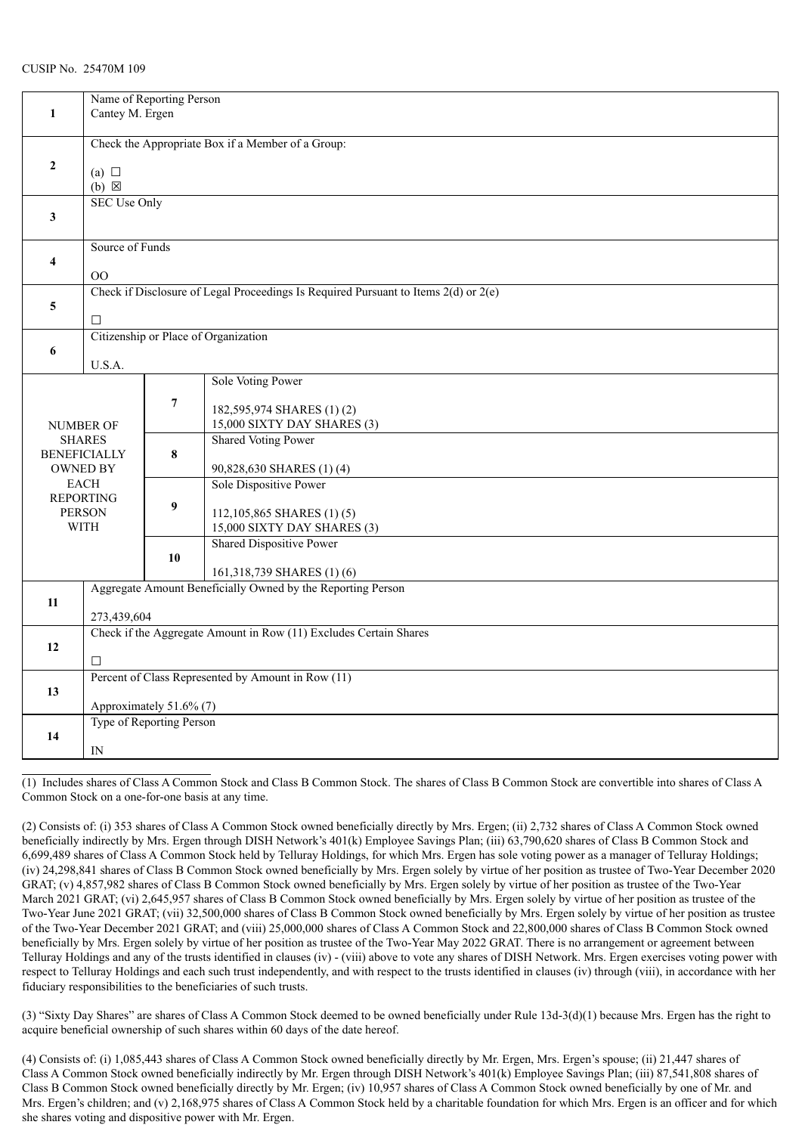| Name of Reporting Person<br>Cantey M. Ergen |                                                                                           |                                                              |                                                                                     |  |  |  |
|---------------------------------------------|-------------------------------------------------------------------------------------------|--------------------------------------------------------------|-------------------------------------------------------------------------------------|--|--|--|
| $\mathbf{1}$                                |                                                                                           |                                                              |                                                                                     |  |  |  |
|                                             | Check the Appropriate Box if a Member of a Group:                                         |                                                              |                                                                                     |  |  |  |
| $\mathbf{2}$                                | (a) $\Box$<br>$(b)$ $\boxtimes$                                                           |                                                              |                                                                                     |  |  |  |
|                                             |                                                                                           | <b>SEC Use Only</b>                                          |                                                                                     |  |  |  |
| 3                                           |                                                                                           |                                                              |                                                                                     |  |  |  |
|                                             | Source of Funds                                                                           |                                                              |                                                                                     |  |  |  |
| $\overline{\mathbf{4}}$                     | $00\,$                                                                                    |                                                              |                                                                                     |  |  |  |
|                                             |                                                                                           |                                                              | Check if Disclosure of Legal Proceedings Is Required Pursuant to Items 2(d) or 2(e) |  |  |  |
| 5                                           | П                                                                                         |                                                              |                                                                                     |  |  |  |
|                                             |                                                                                           | Citizenship or Place of Organization                         |                                                                                     |  |  |  |
| 6                                           | U.S.A.                                                                                    |                                                              |                                                                                     |  |  |  |
|                                             |                                                                                           |                                                              | Sole Voting Power                                                                   |  |  |  |
|                                             |                                                                                           | $\overline{7}$                                               | 182,595,974 SHARES (1)(2)                                                           |  |  |  |
|                                             | NUMBER OF                                                                                 |                                                              | 15,000 SIXTY DAY SHARES (3)                                                         |  |  |  |
|                                             | <b>SHARES</b><br><b>BENEFICIALLY</b>                                                      | 8                                                            | <b>Shared Voting Power</b>                                                          |  |  |  |
|                                             | OWNED BY                                                                                  |                                                              | 90,828,630 SHARES (1)(4)                                                            |  |  |  |
|                                             | <b>EACH</b><br><b>REPORTING</b>                                                           |                                                              | Sole Dispositive Power                                                              |  |  |  |
|                                             | <b>PERSON</b>                                                                             | 9                                                            | 112,105,865 SHARES (1)(5)                                                           |  |  |  |
|                                             | <b>WITH</b>                                                                               |                                                              | 15,000 SIXTY DAY SHARES (3)<br><b>Shared Dispositive Power</b>                      |  |  |  |
|                                             |                                                                                           | 10                                                           |                                                                                     |  |  |  |
|                                             | 161,318,739 SHARES (1) (6)<br>Aggregate Amount Beneficially Owned by the Reporting Person |                                                              |                                                                                     |  |  |  |
| 11                                          |                                                                                           |                                                              |                                                                                     |  |  |  |
|                                             | 273,439,604<br>Check if the Aggregate Amount in Row (11) Excludes Certain Shares          |                                                              |                                                                                     |  |  |  |
| 12                                          |                                                                                           |                                                              |                                                                                     |  |  |  |
|                                             |                                                                                           | $\Box$<br>Percent of Class Represented by Amount in Row (11) |                                                                                     |  |  |  |
| 13                                          |                                                                                           |                                                              |                                                                                     |  |  |  |
|                                             | Approximately 51.6% (7)<br>Type of Reporting Person                                       |                                                              |                                                                                     |  |  |  |
| 14                                          |                                                                                           |                                                              |                                                                                     |  |  |  |
|                                             | IN                                                                                        |                                                              |                                                                                     |  |  |  |

(1) Includes shares of Class A Common Stock and Class B Common Stock. The shares of Class B Common Stock are convertible into shares of Class A Common Stock on a one-for-one basis at any time.

(2) Consists of: (i) 353 shares of Class A Common Stock owned beneficially directly by Mrs. Ergen; (ii) 2,732 shares of Class A Common Stock owned beneficially indirectly by Mrs. Ergen through DISH Network's 401(k) Employee Savings Plan; (iii) 63,790,620 shares of Class B Common Stock and 6,699,489 shares of Class A Common Stock held by Telluray Holdings, for which Mrs. Ergen has sole voting power as a manager of Telluray Holdings; (iv) 24,298,841 shares of Class B Common Stock owned beneficially by Mrs. Ergen solely by virtue of her position as trustee of Two-Year December 2020 GRAT; (v) 4,857,982 shares of Class B Common Stock owned beneficially by Mrs. Ergen solely by virtue of her position as trustee of the Two-Year March 2021 GRAT; (vi) 2,645,957 shares of Class B Common Stock owned beneficially by Mrs. Ergen solely by virtue of her position as trustee of the Two-Year June 2021 GRAT; (vii) 32,500,000 shares of Class B Common Stock owned beneficially by Mrs. Ergen solely by virtue of her position as trustee of the Two-Year December 2021 GRAT; and (viii) 25,000,000 shares of Class A Common Stock and 22,800,000 shares of Class B Common Stock owned beneficially by Mrs. Ergen solely by virtue of her position as trustee of the Two-Year May 2022 GRAT. There is no arrangement or agreement between Telluray Holdings and any of the trusts identified in clauses (iv) - (viii) above to vote any shares of DISH Network. Mrs. Ergen exercises voting power with respect to Telluray Holdings and each such trust independently, and with respect to the trusts identified in clauses (iv) through (viii), in accordance with her fiduciary responsibilities to the beneficiaries of such trusts.

(3) "Sixty Day Shares" are shares of Class A Common Stock deemed to be owned beneficially under Rule 13d-3(d)(1) because Mrs. Ergen has the right to acquire beneficial ownership of such shares within 60 days of the date hereof.

(4) Consists of: (i) 1,085,443 shares of Class A Common Stock owned beneficially directly by Mr. Ergen, Mrs. Ergen's spouse; (ii) 21,447 shares of Class A Common Stock owned beneficially indirectly by Mr. Ergen through DISH Network's 401(k) Employee Savings Plan; (iii) 87,541,808 shares of Class B Common Stock owned beneficially directly by Mr. Ergen; (iv) 10,957 shares of Class A Common Stock owned beneficially by one of Mr. and Mrs. Ergen's children; and (v) 2,168,975 shares of Class A Common Stock held by a charitable foundation for which Mrs. Ergen is an officer and for which she shares voting and dispositive power with Mr. Ergen.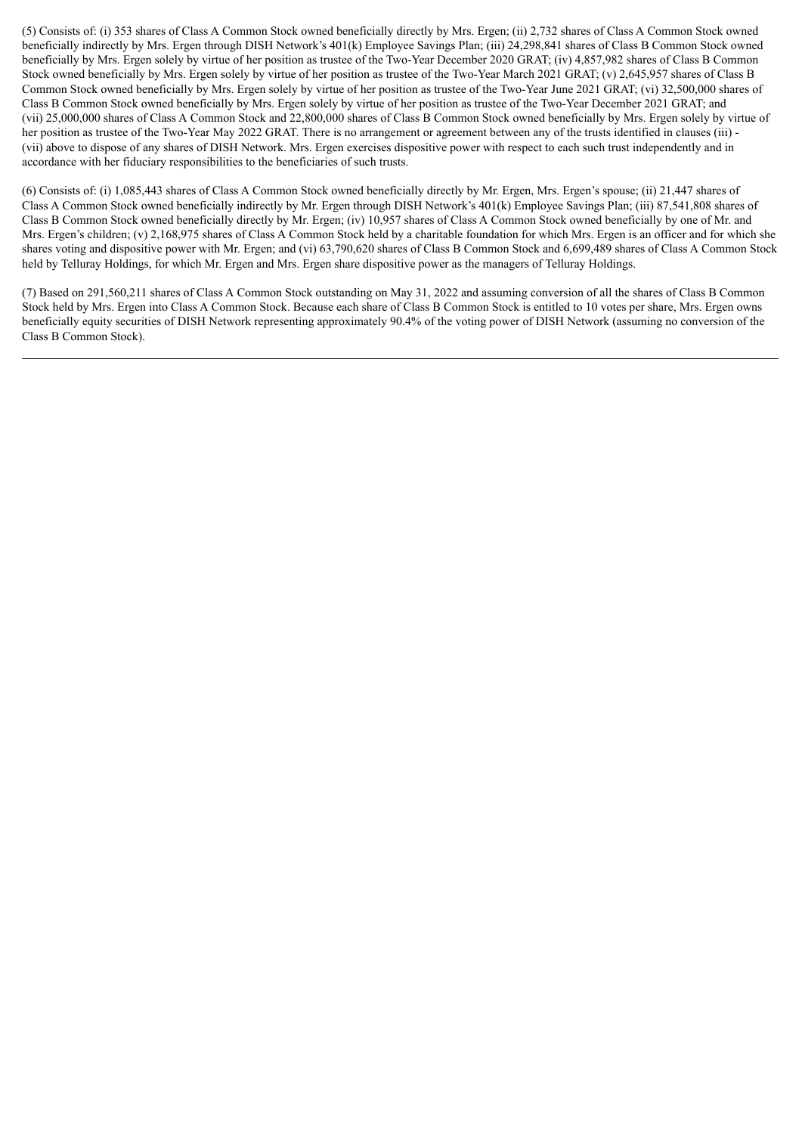(5) Consists of: (i) 353 shares of Class A Common Stock owned beneficially directly by Mrs. Ergen; (ii) 2,732 shares of Class A Common Stock owned beneficially indirectly by Mrs. Ergen through DISH Network's 401(k) Employee Savings Plan; (iii) 24,298,841 shares of Class B Common Stock owned beneficially by Mrs. Ergen solely by virtue of her position as trustee of the Two-Year December 2020 GRAT; (iv) 4,857,982 shares of Class B Common Stock owned beneficially by Mrs. Ergen solely by virtue of her position as trustee of the Two-Year March 2021 GRAT; (v) 2,645,957 shares of Class B Common Stock owned beneficially by Mrs. Ergen solely by virtue of her position as trustee of the Two-Year June 2021 GRAT; (vi) 32,500,000 shares of Class B Common Stock owned beneficially by Mrs. Ergen solely by virtue of her position as trustee of the Two-Year December 2021 GRAT; and (vii) 25,000,000 shares of Class A Common Stock and 22,800,000 shares of Class B Common Stock owned beneficially by Mrs. Ergen solely by virtue of her position as trustee of the Two-Year May 2022 GRAT. There is no arrangement or agreement between any of the trusts identified in clauses (iii) -(vii) above to dispose of any shares of DISH Network. Mrs. Ergen exercises dispositive power with respect to each such trust independently and in accordance with her fiduciary responsibilities to the beneficiaries of such trusts.

(6) Consists of: (i) 1,085,443 shares of Class A Common Stock owned beneficially directly by Mr. Ergen, Mrs. Ergen's spouse; (ii) 21,447 shares of Class A Common Stock owned beneficially indirectly by Mr. Ergen through DISH Network's 401(k) Employee Savings Plan; (iii) 87,541,808 shares of Class B Common Stock owned beneficially directly by Mr. Ergen; (iv) 10,957 shares of Class A Common Stock owned beneficially by one of Mr. and Mrs. Ergen's children; (v) 2,168,975 shares of Class A Common Stock held by a charitable foundation for which Mrs. Ergen is an officer and for which she shares voting and dispositive power with Mr. Ergen; and (vi) 63,790,620 shares of Class B Common Stock and 6,699,489 shares of Class A Common Stock held by Telluray Holdings, for which Mr. Ergen and Mrs. Ergen share dispositive power as the managers of Telluray Holdings.

(7) Based on 291,560,211 shares of Class A Common Stock outstanding on May 31, 2022 and assuming conversion of all the shares of Class B Common Stock held by Mrs. Ergen into Class A Common Stock. Because each share of Class B Common Stock is entitled to 10 votes per share, Mrs. Ergen owns beneficially equity securities of DISH Network representing approximately 90.4% of the voting power of DISH Network (assuming no conversion of the Class B Common Stock).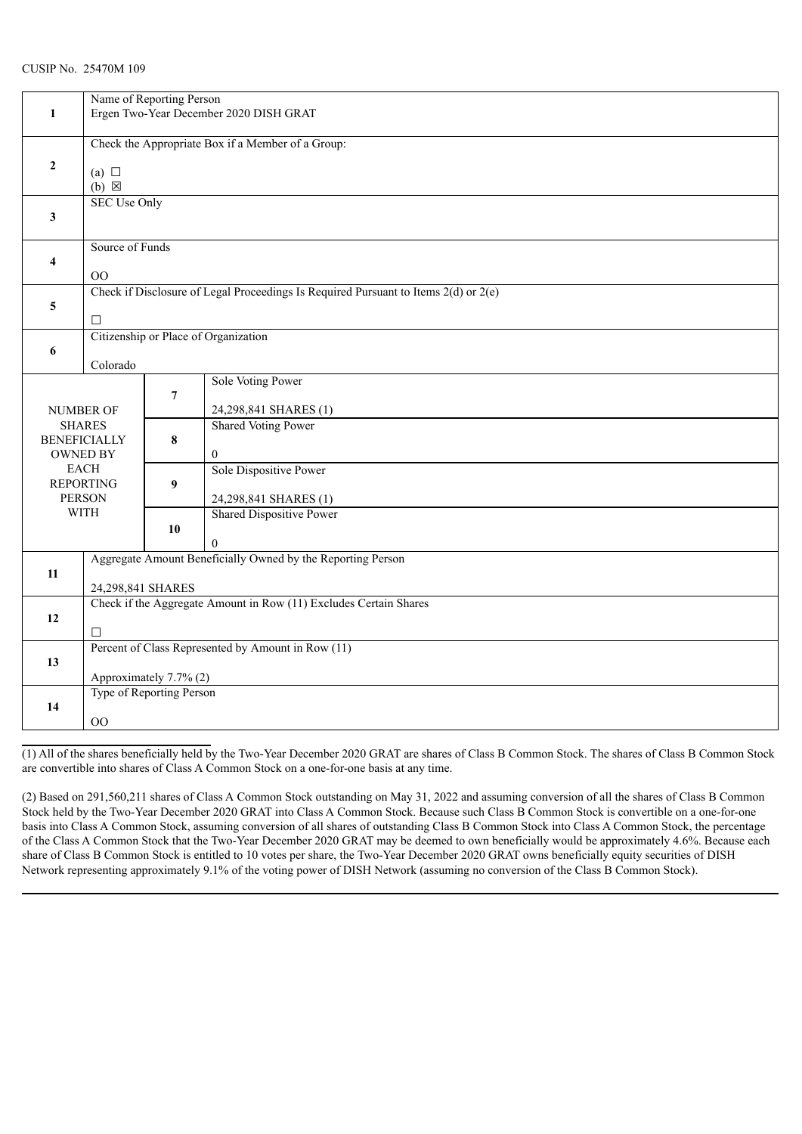| 1                                      | Name of Reporting Person<br>Ergen Two-Year December 2020 DISH GRAT      |                |                                                                                     |  |
|----------------------------------------|-------------------------------------------------------------------------|----------------|-------------------------------------------------------------------------------------|--|
|                                        | Check the Appropriate Box if a Member of a Group:                       |                |                                                                                     |  |
| $\mathbf{2}$                           | (a) $\Box$<br>$(b) \boxtimes$                                           |                |                                                                                     |  |
| 3                                      | <b>SEC Use Only</b>                                                     |                |                                                                                     |  |
| 4                                      | Source of Funds                                                         |                |                                                                                     |  |
|                                        | $00\,$                                                                  |                | Check if Disclosure of Legal Proceedings Is Required Pursuant to Items 2(d) or 2(e) |  |
| 5                                      | □                                                                       |                |                                                                                     |  |
| 6                                      |                                                                         |                | Citizenship or Place of Organization                                                |  |
|                                        | Colorado                                                                |                |                                                                                     |  |
|                                        |                                                                         |                | Sole Voting Power                                                                   |  |
|                                        | <b>NUMBER OF</b>                                                        | $\overline{7}$ | 24,298,841 SHARES (1)                                                               |  |
|                                        | <b>SHARES</b>                                                           |                | <b>Shared Voting Power</b>                                                          |  |
| <b>BENEFICIALLY</b><br><b>OWNED BY</b> |                                                                         | 8              | $\boldsymbol{0}$                                                                    |  |
|                                        | <b>EACH</b>                                                             |                | Sole Dispositive Power                                                              |  |
|                                        | <b>REPORTING</b><br><b>PERSON</b>                                       | 9              | 24,298,841 SHARES (1)                                                               |  |
|                                        | <b>WITH</b>                                                             |                | Shared Dispositive Power                                                            |  |
|                                        |                                                                         | 10             |                                                                                     |  |
|                                        | $\Omega$<br>Aggregate Amount Beneficially Owned by the Reporting Person |                |                                                                                     |  |
| $11\,$                                 | 24,298,841 SHARES                                                       |                |                                                                                     |  |
|                                        | Check if the Aggregate Amount in Row (11) Excludes Certain Shares       |                |                                                                                     |  |
| 12<br>□                                |                                                                         |                |                                                                                     |  |
|                                        | Percent of Class Represented by Amount in Row (11)                      |                |                                                                                     |  |
| 13                                     | Approximately 7.7% (2)                                                  |                |                                                                                     |  |
|                                        | Type of Reporting Person                                                |                |                                                                                     |  |
| 14<br>00                               |                                                                         |                |                                                                                     |  |

(1) All of the shares beneficially held by the Two-Year December 2020 GRAT are shares of Class B Common Stock. The shares of Class B Common Stock are convertible into shares of Class A Common Stock on a one-for-one basis at any time.

(2) Based on 291,560,211 shares of Class A Common Stock outstanding on May 31, 2022 and assuming conversion of all the shares of Class B Common Stock held by the Two-Year December 2020 GRAT into Class A Common Stock. Because such Class B Common Stock is convertible on a one-for-one basis into Class A Common Stock, assuming conversion of all shares of outstanding Class B Common Stock into Class A Common Stock, the percentage of the Class A Common Stock that the Two-Year December 2020 GRAT may be deemed to own beneficially would be approximately 4.6%. Because each share of Class B Common Stock is entitled to 10 votes per share, the Two-Year December 2020 GRAT owns beneficially equity securities of DISH Network representing approximately 9.1% of the voting power of DISH Network (assuming no conversion of the Class B Common Stock).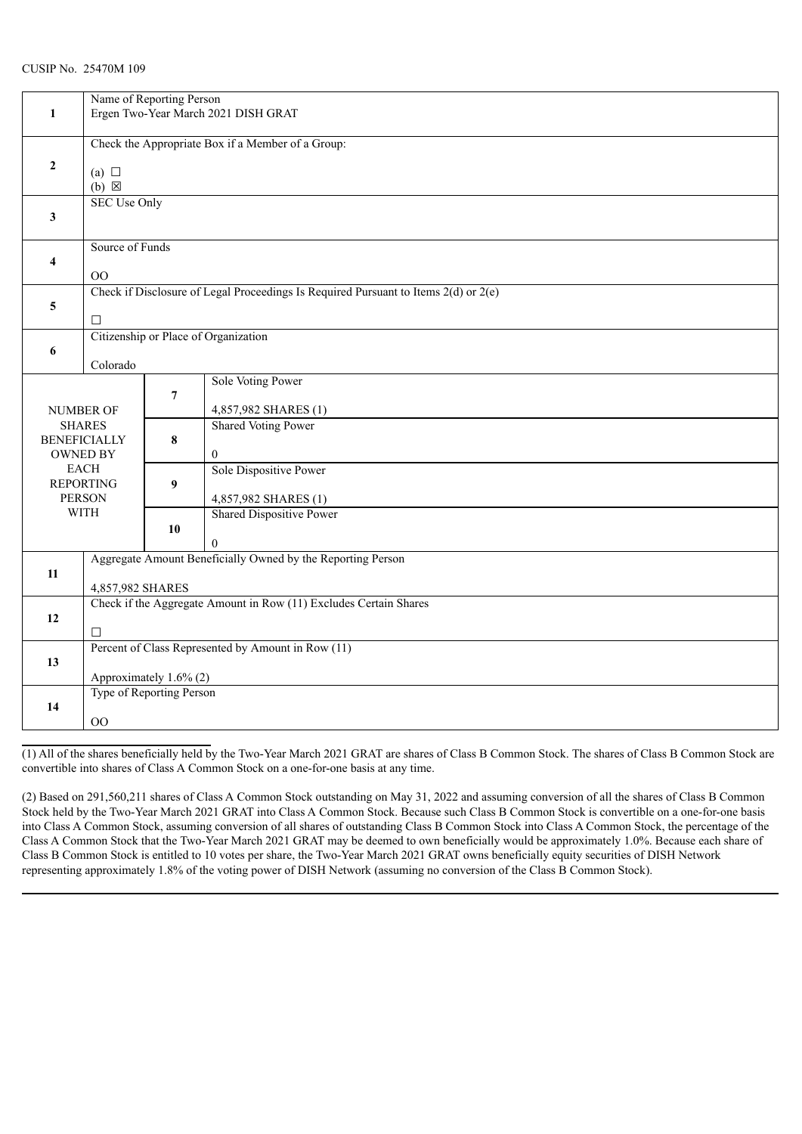| 1                                                       | Name of Reporting Person<br>Ergen Two-Year March 2021 DISH GRAT                    |                |                                                                                         |  |
|---------------------------------------------------------|------------------------------------------------------------------------------------|----------------|-----------------------------------------------------------------------------------------|--|
| $\mathbf{2}$                                            | Check the Appropriate Box if a Member of a Group:<br>(a) $\Box$<br>$(b) \boxtimes$ |                |                                                                                         |  |
| 3                                                       | <b>SEC Use Only</b>                                                                |                |                                                                                         |  |
| 4                                                       | Source of Funds<br>$00\,$                                                          |                |                                                                                         |  |
| 5                                                       | □                                                                                  |                | Check if Disclosure of Legal Proceedings Is Required Pursuant to Items $2(d)$ or $2(e)$ |  |
| 6                                                       | Citizenship or Place of Organization<br>Colorado                                   |                |                                                                                         |  |
| <b>NUMBER OF</b>                                        |                                                                                    | $\overline{7}$ | Sole Voting Power<br>4,857,982 SHARES (1)                                               |  |
| <b>SHARES</b><br><b>BENEFICIALLY</b><br><b>OWNED BY</b> |                                                                                    | 8              | <b>Shared Voting Power</b><br>$\boldsymbol{0}$                                          |  |
| <b>EACH</b><br><b>REPORTING</b><br><b>PERSON</b>        |                                                                                    | 9              | Sole Dispositive Power<br>4,857,982 SHARES (1)                                          |  |
| <b>WITH</b>                                             |                                                                                    | 10             | Shared Dispositive Power<br>$\overline{0}$                                              |  |
| 11                                                      | Aggregate Amount Beneficially Owned by the Reporting Person<br>4,857,982 SHARES    |                |                                                                                         |  |
| 12                                                      | Check if the Aggregate Amount in Row (11) Excludes Certain Shares<br>□             |                |                                                                                         |  |
| 13                                                      | Percent of Class Represented by Amount in Row (11)<br>Approximately 1.6% (2)       |                |                                                                                         |  |
| 14                                                      | Type of Reporting Person<br>00                                                     |                |                                                                                         |  |

(1) All of the shares beneficially held by the Two-Year March 2021 GRAT are shares of Class B Common Stock. The shares of Class B Common Stock are convertible into shares of Class A Common Stock on a one-for-one basis at any time.

(2) Based on 291,560,211 shares of Class A Common Stock outstanding on May 31, 2022 and assuming conversion of all the shares of Class B Common Stock held by the Two-Year March 2021 GRAT into Class A Common Stock. Because such Class B Common Stock is convertible on a one-for-one basis into Class A Common Stock, assuming conversion of all shares of outstanding Class B Common Stock into Class A Common Stock, the percentage of the Class A Common Stock that the Two-Year March 2021 GRAT may be deemed to own beneficially would be approximately 1.0%. Because each share of Class B Common Stock is entitled to 10 votes per share, the Two-Year March 2021 GRAT owns beneficially equity securities of DISH Network representing approximately 1.8% of the voting power of DISH Network (assuming no conversion of the Class B Common Stock).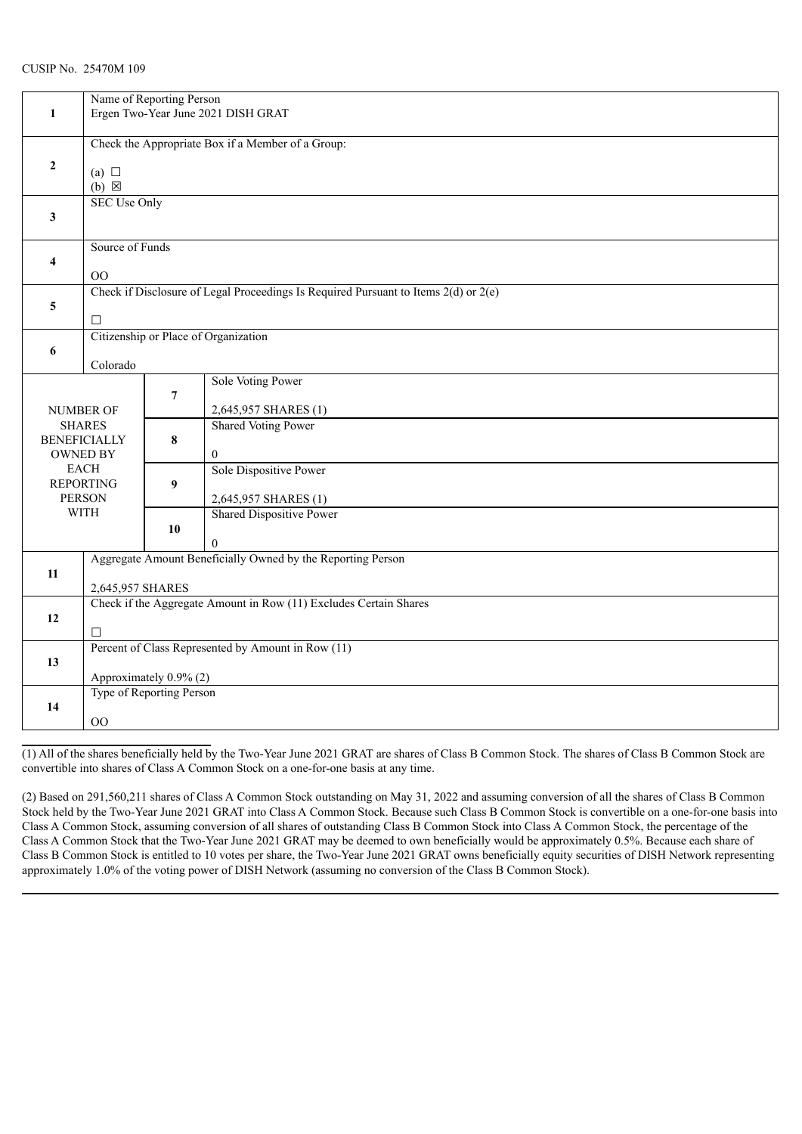|                                        |                                                                   | Name of Reporting Person |                                                                                         |  |  |  |  |
|----------------------------------------|-------------------------------------------------------------------|--------------------------|-----------------------------------------------------------------------------------------|--|--|--|--|
| 1                                      |                                                                   |                          | Ergen Two-Year June 2021 DISH GRAT                                                      |  |  |  |  |
|                                        |                                                                   |                          |                                                                                         |  |  |  |  |
|                                        | Check the Appropriate Box if a Member of a Group:                 |                          |                                                                                         |  |  |  |  |
| $\mathbf{2}$                           | (a) $\Box$                                                        |                          |                                                                                         |  |  |  |  |
|                                        | $(b) \boxtimes$                                                   |                          |                                                                                         |  |  |  |  |
|                                        | <b>SEC Use Only</b>                                               |                          |                                                                                         |  |  |  |  |
| 3                                      |                                                                   |                          |                                                                                         |  |  |  |  |
|                                        |                                                                   |                          |                                                                                         |  |  |  |  |
|                                        | Source of Funds                                                   |                          |                                                                                         |  |  |  |  |
| 4                                      |                                                                   |                          |                                                                                         |  |  |  |  |
|                                        | $00\,$                                                            |                          |                                                                                         |  |  |  |  |
|                                        |                                                                   |                          | Check if Disclosure of Legal Proceedings Is Required Pursuant to Items $2(d)$ or $2(e)$ |  |  |  |  |
| 5                                      | $\Box$                                                            |                          |                                                                                         |  |  |  |  |
|                                        |                                                                   |                          | Citizenship or Place of Organization                                                    |  |  |  |  |
| 6                                      |                                                                   |                          |                                                                                         |  |  |  |  |
|                                        | Colorado                                                          |                          |                                                                                         |  |  |  |  |
|                                        |                                                                   |                          | Sole Voting Power                                                                       |  |  |  |  |
|                                        |                                                                   | $\overline{7}$           |                                                                                         |  |  |  |  |
|                                        | <b>NUMBER OF</b>                                                  |                          | 2,645,957 SHARES (1)                                                                    |  |  |  |  |
| <b>SHARES</b>                          |                                                                   |                          | <b>Shared Voting Power</b>                                                              |  |  |  |  |
| <b>BENEFICIALLY</b><br><b>OWNED BY</b> |                                                                   | 8                        | $\overline{0}$                                                                          |  |  |  |  |
|                                        | <b>EACH</b>                                                       |                          | Sole Dispositive Power                                                                  |  |  |  |  |
|                                        | <b>REPORTING</b>                                                  | 9                        |                                                                                         |  |  |  |  |
|                                        | <b>PERSON</b>                                                     |                          | 2,645,957 SHARES (1)                                                                    |  |  |  |  |
|                                        | <b>WITH</b>                                                       |                          | Shared Dispositive Power                                                                |  |  |  |  |
|                                        |                                                                   | 10                       |                                                                                         |  |  |  |  |
|                                        |                                                                   |                          | $\Omega$                                                                                |  |  |  |  |
|                                        | Aggregate Amount Beneficially Owned by the Reporting Person       |                          |                                                                                         |  |  |  |  |
| 11                                     |                                                                   |                          |                                                                                         |  |  |  |  |
|                                        | 2,645,957 SHARES                                                  |                          |                                                                                         |  |  |  |  |
| 12                                     | Check if the Aggregate Amount in Row (11) Excludes Certain Shares |                          |                                                                                         |  |  |  |  |
|                                        | □                                                                 |                          |                                                                                         |  |  |  |  |
|                                        | Percent of Class Represented by Amount in Row (11)                |                          |                                                                                         |  |  |  |  |
| 13                                     |                                                                   |                          |                                                                                         |  |  |  |  |
|                                        | Approximately 0.9% (2)                                            |                          |                                                                                         |  |  |  |  |
|                                        | Type of Reporting Person                                          |                          |                                                                                         |  |  |  |  |
| 14                                     |                                                                   |                          |                                                                                         |  |  |  |  |
|                                        | 00                                                                |                          |                                                                                         |  |  |  |  |

(1) All of the shares beneficially held by the Two-Year June 2021 GRAT are shares of Class B Common Stock. The shares of Class B Common Stock are convertible into shares of Class A Common Stock on a one-for-one basis at any time.

(2) Based on 291,560,211 shares of Class A Common Stock outstanding on May 31, 2022 and assuming conversion of all the shares of Class B Common Stock held by the Two-Year June 2021 GRAT into Class A Common Stock. Because such Class B Common Stock is convertible on a one-for-one basis into Class A Common Stock, assuming conversion of all shares of outstanding Class B Common Stock into Class A Common Stock, the percentage of the Class A Common Stock that the Two-Year June 2021 GRAT may be deemed to own beneficially would be approximately 0.5%. Because each share of Class B Common Stock is entitled to 10 votes per share, the Two-Year June 2021 GRAT owns beneficially equity securities of DISH Network representing approximately 1.0% of the voting power of DISH Network (assuming no conversion of the Class B Common Stock).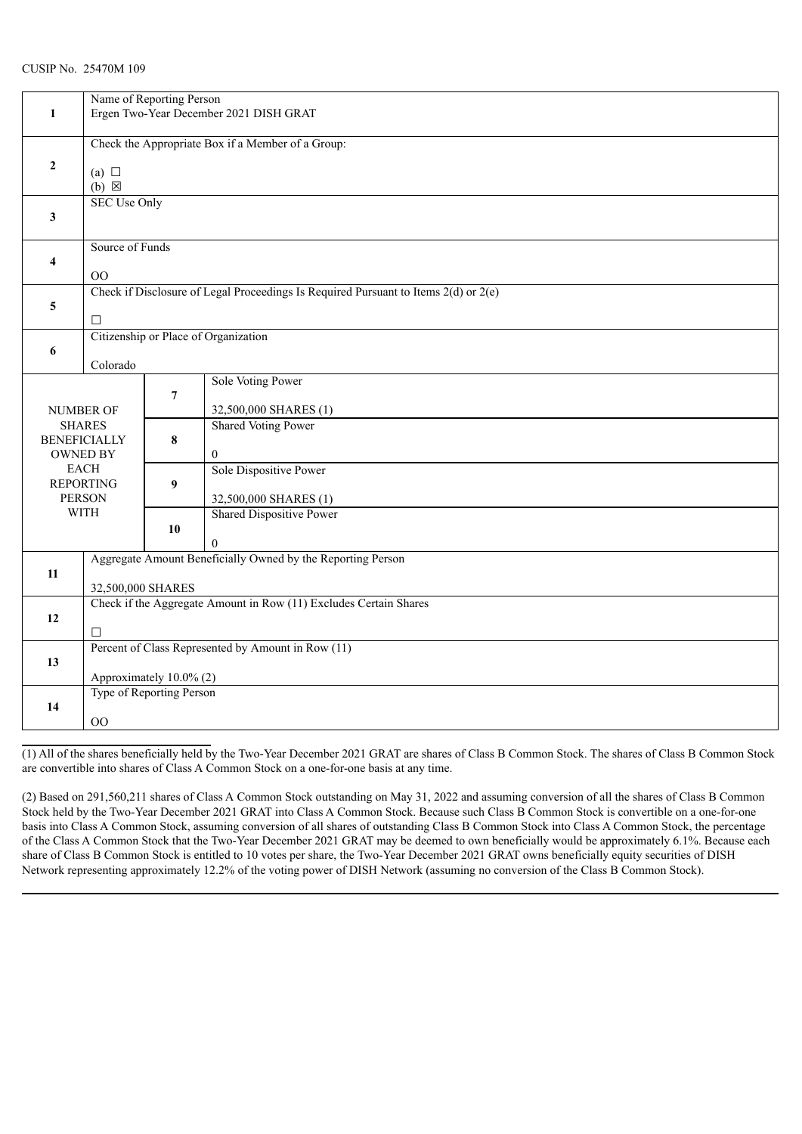| 1                                                       | Name of Reporting Person<br>Ergen Two-Year December 2021 DISH GRAT                 |                |                                                                                         |  |  |
|---------------------------------------------------------|------------------------------------------------------------------------------------|----------------|-----------------------------------------------------------------------------------------|--|--|
| $\mathbf{2}$                                            | Check the Appropriate Box if a Member of a Group:<br>(a) $\Box$<br>$(b) \boxtimes$ |                |                                                                                         |  |  |
| $\mathbf{3}$                                            | <b>SEC Use Only</b>                                                                |                |                                                                                         |  |  |
| 4                                                       | Source of Funds<br>OO                                                              |                |                                                                                         |  |  |
| 5                                                       | □                                                                                  |                | Check if Disclosure of Legal Proceedings Is Required Pursuant to Items $2(d)$ or $2(e)$ |  |  |
| 6                                                       | Citizenship or Place of Organization<br>Colorado                                   |                |                                                                                         |  |  |
|                                                         | NUMBER OF                                                                          | $\overline{7}$ | Sole Voting Power<br>32,500,000 SHARES (1)                                              |  |  |
| <b>SHARES</b><br><b>BENEFICIALLY</b><br><b>OWNED BY</b> |                                                                                    | 8              | <b>Shared Voting Power</b><br>$\mathbf{0}$                                              |  |  |
| <b>EACH</b><br><b>REPORTING</b><br><b>PERSON</b>        |                                                                                    | 9              | Sole Dispositive Power<br>32,500,000 SHARES (1)                                         |  |  |
|                                                         | <b>WITH</b>                                                                        | 10             | <b>Shared Dispositive Power</b><br>$\Omega$                                             |  |  |
| 11                                                      | Aggregate Amount Beneficially Owned by the Reporting Person<br>32,500,000 SHARES   |                |                                                                                         |  |  |
| 12                                                      | Check if the Aggregate Amount in Row (11) Excludes Certain Shares<br>П             |                |                                                                                         |  |  |
| 13                                                      | Percent of Class Represented by Amount in Row (11)<br>Approximately 10.0% (2)      |                |                                                                                         |  |  |
| 14                                                      | Type of Reporting Person<br>O <sub>O</sub>                                         |                |                                                                                         |  |  |

(1) All of the shares beneficially held by the Two-Year December 2021 GRAT are shares of Class B Common Stock. The shares of Class B Common Stock are convertible into shares of Class A Common Stock on a one-for-one basis at any time.

(2) Based on 291,560,211 shares of Class A Common Stock outstanding on May 31, 2022 and assuming conversion of all the shares of Class B Common Stock held by the Two-Year December 2021 GRAT into Class A Common Stock. Because such Class B Common Stock is convertible on a one-for-one basis into Class A Common Stock, assuming conversion of all shares of outstanding Class B Common Stock into Class A Common Stock, the percentage of the Class A Common Stock that the Two-Year December 2021 GRAT may be deemed to own beneficially would be approximately 6.1%. Because each share of Class B Common Stock is entitled to 10 votes per share, the Two-Year December 2021 GRAT owns beneficially equity securities of DISH Network representing approximately 12.2% of the voting power of DISH Network (assuming no conversion of the Class B Common Stock).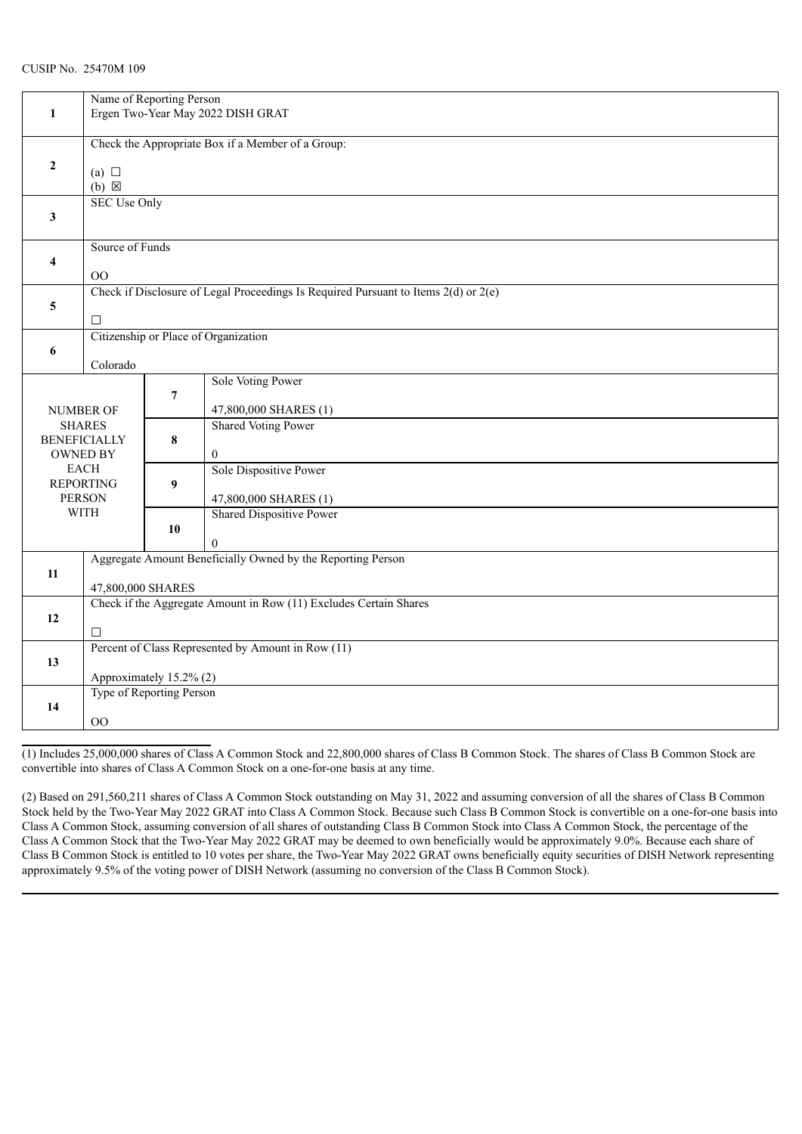|                     |                                                                   | Name of Reporting Person |                                                                                     |  |  |
|---------------------|-------------------------------------------------------------------|--------------------------|-------------------------------------------------------------------------------------|--|--|
| $\mathbf{1}$        |                                                                   |                          | Ergen Two-Year May 2022 DISH GRAT                                                   |  |  |
|                     |                                                                   |                          |                                                                                     |  |  |
|                     | Check the Appropriate Box if a Member of a Group:                 |                          |                                                                                     |  |  |
|                     |                                                                   |                          |                                                                                     |  |  |
| $\mathbf{2}$        | (a) $\Box$                                                        |                          |                                                                                     |  |  |
|                     | $(b) \boxtimes$                                                   |                          |                                                                                     |  |  |
|                     | <b>SEC Use Only</b>                                               |                          |                                                                                     |  |  |
| 3                   |                                                                   |                          |                                                                                     |  |  |
|                     |                                                                   |                          |                                                                                     |  |  |
|                     |                                                                   |                          |                                                                                     |  |  |
|                     | Source of Funds                                                   |                          |                                                                                     |  |  |
| 4                   |                                                                   |                          |                                                                                     |  |  |
|                     | $00\,$                                                            |                          |                                                                                     |  |  |
|                     |                                                                   |                          | Check if Disclosure of Legal Proceedings Is Required Pursuant to Items 2(d) or 2(e) |  |  |
| 5                   |                                                                   |                          |                                                                                     |  |  |
|                     | □                                                                 |                          |                                                                                     |  |  |
|                     |                                                                   |                          | Citizenship or Place of Organization                                                |  |  |
| 6                   |                                                                   |                          |                                                                                     |  |  |
|                     | Colorado                                                          |                          |                                                                                     |  |  |
|                     |                                                                   |                          | Sole Voting Power                                                                   |  |  |
|                     |                                                                   | $\overline{7}$           |                                                                                     |  |  |
|                     | NUMBER OF                                                         |                          | 47,800,000 SHARES (1)                                                               |  |  |
| <b>SHARES</b>       |                                                                   |                          | <b>Shared Voting Power</b>                                                          |  |  |
| <b>BENEFICIALLY</b> |                                                                   | 8                        |                                                                                     |  |  |
| <b>OWNED BY</b>     |                                                                   |                          | $\boldsymbol{0}$                                                                    |  |  |
|                     | <b>EACH</b>                                                       |                          | Sole Dispositive Power                                                              |  |  |
|                     | <b>REPORTING</b>                                                  | 9                        |                                                                                     |  |  |
|                     | <b>PERSON</b>                                                     |                          | 47,800,000 SHARES (1)                                                               |  |  |
|                     | <b>WITH</b>                                                       |                          | Shared Dispositive Power                                                            |  |  |
|                     |                                                                   | 10                       |                                                                                     |  |  |
|                     |                                                                   |                          | $\Omega$                                                                            |  |  |
|                     | Aggregate Amount Beneficially Owned by the Reporting Person       |                          |                                                                                     |  |  |
| $11\,$              |                                                                   |                          |                                                                                     |  |  |
|                     | 47,800,000 SHARES                                                 |                          |                                                                                     |  |  |
|                     | Check if the Aggregate Amount in Row (11) Excludes Certain Shares |                          |                                                                                     |  |  |
| 12                  |                                                                   |                          |                                                                                     |  |  |
|                     | □                                                                 |                          |                                                                                     |  |  |
|                     | Percent of Class Represented by Amount in Row (11)                |                          |                                                                                     |  |  |
| 13                  |                                                                   |                          |                                                                                     |  |  |
|                     | Approximately 15.2% (2)                                           |                          |                                                                                     |  |  |
|                     | Type of Reporting Person                                          |                          |                                                                                     |  |  |
| 14                  |                                                                   |                          |                                                                                     |  |  |
|                     | 00                                                                |                          |                                                                                     |  |  |
|                     |                                                                   |                          |                                                                                     |  |  |

(1) Includes 25,000,000 shares of Class A Common Stock and 22,800,000 shares of Class B Common Stock. The shares of Class B Common Stock are convertible into shares of Class A Common Stock on a one-for-one basis at any time.

(2) Based on 291,560,211 shares of Class A Common Stock outstanding on May 31, 2022 and assuming conversion of all the shares of Class B Common Stock held by the Two-Year May 2022 GRAT into Class A Common Stock. Because such Class B Common Stock is convertible on a one-for-one basis into Class A Common Stock, assuming conversion of all shares of outstanding Class B Common Stock into Class A Common Stock, the percentage of the Class A Common Stock that the Two-Year May 2022 GRAT may be deemed to own beneficially would be approximately 9.0%. Because each share of Class B Common Stock is entitled to 10 votes per share, the Two-Year May 2022 GRAT owns beneficially equity securities of DISH Network representing approximately 9.5% of the voting power of DISH Network (assuming no conversion of the Class B Common Stock).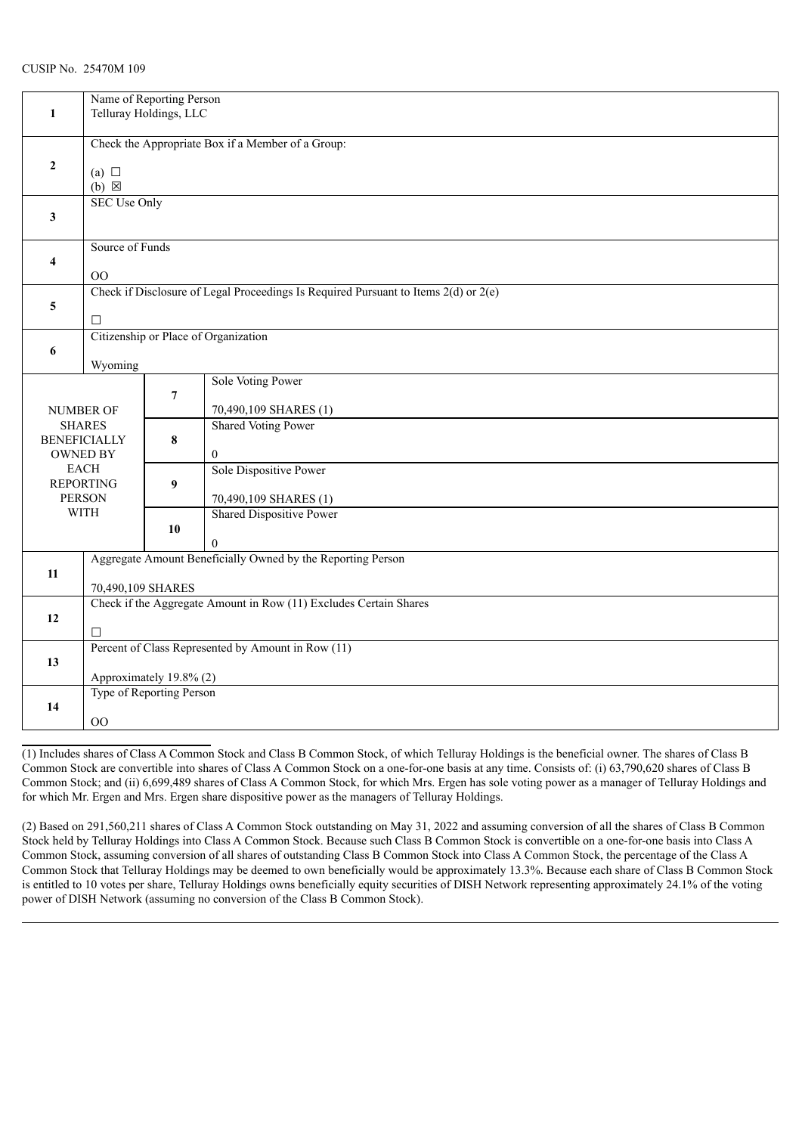|                                        | Name of Reporting Person                                          |                                                    |                                                                                         |  |  |  |
|----------------------------------------|-------------------------------------------------------------------|----------------------------------------------------|-----------------------------------------------------------------------------------------|--|--|--|
| 1                                      | Telluray Holdings, LLC                                            |                                                    |                                                                                         |  |  |  |
|                                        | Check the Appropriate Box if a Member of a Group:                 |                                                    |                                                                                         |  |  |  |
| $\mathbf{2}$                           |                                                                   |                                                    |                                                                                         |  |  |  |
|                                        | (a) $\Box$<br>$(b) \boxtimes$                                     |                                                    |                                                                                         |  |  |  |
|                                        |                                                                   | <b>SEC Use Only</b>                                |                                                                                         |  |  |  |
| 3                                      |                                                                   |                                                    |                                                                                         |  |  |  |
|                                        | Source of Funds                                                   |                                                    |                                                                                         |  |  |  |
| $\overline{\mathbf{4}}$                | $00\,$                                                            |                                                    |                                                                                         |  |  |  |
|                                        |                                                                   |                                                    | Check if Disclosure of Legal Proceedings Is Required Pursuant to Items $2(d)$ or $2(e)$ |  |  |  |
| 5                                      | □                                                                 |                                                    |                                                                                         |  |  |  |
|                                        |                                                                   |                                                    | Citizenship or Place of Organization                                                    |  |  |  |
| 6                                      | Wyoming                                                           |                                                    |                                                                                         |  |  |  |
|                                        |                                                                   |                                                    | Sole Voting Power                                                                       |  |  |  |
|                                        | NUMBER OF                                                         | $\overline{7}$                                     | 70,490,109 SHARES (1)                                                                   |  |  |  |
| <b>SHARES</b>                          |                                                                   |                                                    | <b>Shared Voting Power</b>                                                              |  |  |  |
| <b>BENEFICIALLY</b><br><b>OWNED BY</b> |                                                                   | 8                                                  | $\boldsymbol{0}$                                                                        |  |  |  |
|                                        | <b>EACH</b>                                                       |                                                    | Sole Dispositive Power                                                                  |  |  |  |
|                                        | <b>REPORTING</b><br><b>PERSON</b>                                 | 9                                                  | 70,490,109 SHARES (1)                                                                   |  |  |  |
|                                        | <b>WITH</b>                                                       |                                                    | Shared Dispositive Power                                                                |  |  |  |
|                                        |                                                                   | 10                                                 | $\Omega$                                                                                |  |  |  |
|                                        | Aggregate Amount Beneficially Owned by the Reporting Person       |                                                    |                                                                                         |  |  |  |
| 11                                     |                                                                   | 70,490,109 SHARES                                  |                                                                                         |  |  |  |
|                                        | Check if the Aggregate Amount in Row (11) Excludes Certain Shares |                                                    |                                                                                         |  |  |  |
| 12                                     | $\Box$                                                            |                                                    |                                                                                         |  |  |  |
|                                        |                                                                   | Percent of Class Represented by Amount in Row (11) |                                                                                         |  |  |  |
| 13                                     | Approximately 19.8% (2)                                           |                                                    |                                                                                         |  |  |  |
|                                        |                                                                   | Type of Reporting Person                           |                                                                                         |  |  |  |
| 14                                     |                                                                   |                                                    |                                                                                         |  |  |  |
|                                        | 00                                                                |                                                    |                                                                                         |  |  |  |

(1) Includes shares of Class A Common Stock and Class B Common Stock, of which Telluray Holdings is the beneficial owner. The shares of Class B Common Stock are convertible into shares of Class A Common Stock on a one-for-one basis at any time. Consists of: (i) 63,790,620 shares of Class B Common Stock; and (ii) 6,699,489 shares of Class A Common Stock, for which Mrs. Ergen has sole voting power as a manager of Telluray Holdings and for which Mr. Ergen and Mrs. Ergen share dispositive power as the managers of Telluray Holdings.

(2) Based on 291,560,211 shares of Class A Common Stock outstanding on May 31, 2022 and assuming conversion of all the shares of Class B Common Stock held by Telluray Holdings into Class A Common Stock. Because such Class B Common Stock is convertible on a one-for-one basis into Class A Common Stock, assuming conversion of all shares of outstanding Class B Common Stock into Class A Common Stock, the percentage of the Class A Common Stock that Telluray Holdings may be deemed to own beneficially would be approximately 13.3%. Because each share of Class B Common Stock is entitled to 10 votes per share, Telluray Holdings owns beneficially equity securities of DISH Network representing approximately 24.1% of the voting power of DISH Network (assuming no conversion of the Class B Common Stock).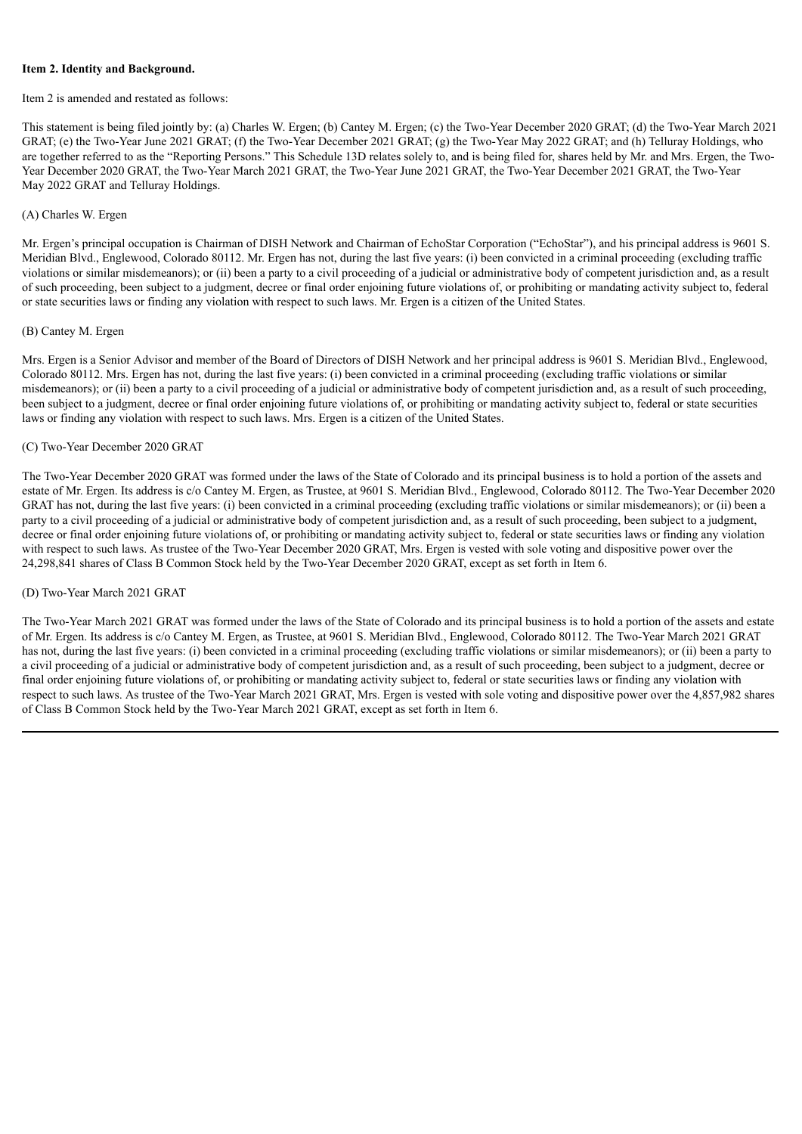#### **Item 2. Identity and Background.**

#### Item 2 is amended and restated as follows:

This statement is being filed jointly by: (a) Charles W. Ergen; (b) Cantey M. Ergen; (c) the Two-Year December 2020 GRAT; (d) the Two-Year March 2021 GRAT; (e) the Two-Year June 2021 GRAT; (f) the Two-Year December 2021 GRAT; (g) the Two-Year May 2022 GRAT; and (h) Telluray Holdings, who are together referred to as the "Reporting Persons." This Schedule 13D relates solely to, and is being filed for, shares held by Mr. and Mrs. Ergen, the Two-Year December 2020 GRAT, the Two-Year March 2021 GRAT, the Two-Year June 2021 GRAT, the Two-Year December 2021 GRAT, the Two-Year May 2022 GRAT and Telluray Holdings.

## (A) Charles W. Ergen

Mr. Ergen's principal occupation is Chairman of DISH Network and Chairman of EchoStar Corporation ("EchoStar"), and his principal address is 9601 S. Meridian Blvd., Englewood, Colorado 80112. Mr. Ergen has not, during the last five years: (i) been convicted in a criminal proceeding (excluding traffic violations or similar misdemeanors); or (ii) been a party to a civil proceeding of a judicial or administrative body of competent jurisdiction and, as a result of such proceeding, been subject to a judgment, decree or final order enjoining future violations of, or prohibiting or mandating activity subject to, federal or state securities laws or finding any violation with respect to such laws. Mr. Ergen is a citizen of the United States.

## (B) Cantey M. Ergen

Mrs. Ergen is a Senior Advisor and member of the Board of Directors of DISH Network and her principal address is 9601 S. Meridian Blvd., Englewood, Colorado 80112. Mrs. Ergen has not, during the last five years: (i) been convicted in a criminal proceeding (excluding traffic violations or similar misdemeanors); or (ii) been a party to a civil proceeding of a judicial or administrative body of competent jurisdiction and, as a result of such proceeding, been subject to a judgment, decree or final order enjoining future violations of, or prohibiting or mandating activity subject to, federal or state securities laws or finding any violation with respect to such laws. Mrs. Ergen is a citizen of the United States.

## (C) Two-Year December 2020 GRAT

The Two-Year December 2020 GRAT was formed under the laws of the State of Colorado and its principal business is to hold a portion of the assets and estate of Mr. Ergen. Its address is c/o Cantey M. Ergen, as Trustee, at 9601 S. Meridian Blvd., Englewood, Colorado 80112. The Two-Year December 2020 GRAT has not, during the last five years: (i) been convicted in a criminal proceeding (excluding traffic violations or similar misdemeanors); or (ii) been a party to a civil proceeding of a judicial or administrative body of competent jurisdiction and, as a result of such proceeding, been subject to a judgment, decree or final order enjoining future violations of, or prohibiting or mandating activity subject to, federal or state securities laws or finding any violation with respect to such laws. As trustee of the Two-Year December 2020 GRAT, Mrs. Ergen is vested with sole voting and dispositive power over the 24,298,841 shares of Class B Common Stock held by the Two-Year December 2020 GRAT, except as set forth in Item 6.

## (D) Two-Year March 2021 GRAT

The Two-Year March 2021 GRAT was formed under the laws of the State of Colorado and its principal business is to hold a portion of the assets and estate of Mr. Ergen. Its address is c/o Cantey M. Ergen, as Trustee, at 9601 S. Meridian Blvd., Englewood, Colorado 80112. The Two-Year March 2021 GRAT has not, during the last five years: (i) been convicted in a criminal proceeding (excluding traffic violations or similar misdemeanors); or (ii) been a party to a civil proceeding of a judicial or administrative body of competent jurisdiction and, as a result of such proceeding, been subject to a judgment, decree or final order enjoining future violations of, or prohibiting or mandating activity subject to, federal or state securities laws or finding any violation with respect to such laws. As trustee of the Two-Year March 2021 GRAT, Mrs. Ergen is vested with sole voting and dispositive power over the 4,857,982 shares of Class B Common Stock held by the Two-Year March 2021 GRAT, except as set forth in Item 6.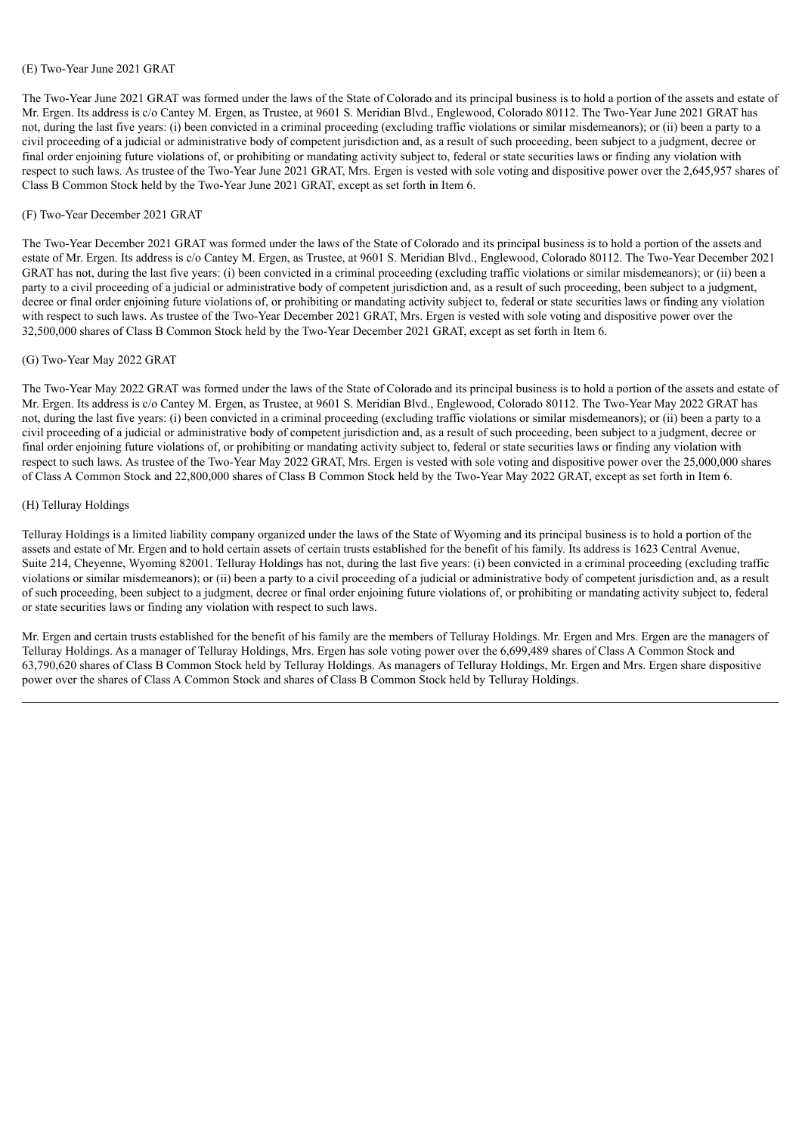#### (E) Two-Year June 2021 GRAT

The Two-Year June 2021 GRAT was formed under the laws of the State of Colorado and its principal business is to hold a portion of the assets and estate of Mr. Ergen. Its address is c/o Cantey M. Ergen, as Trustee, at 9601 S. Meridian Blvd., Englewood, Colorado 80112. The Two-Year June 2021 GRAT has not, during the last five years: (i) been convicted in a criminal proceeding (excluding traffic violations or similar misdemeanors); or (ii) been a party to a civil proceeding of a judicial or administrative body of competent jurisdiction and, as a result of such proceeding, been subject to a judgment, decree or final order enjoining future violations of, or prohibiting or mandating activity subject to, federal or state securities laws or finding any violation with respect to such laws. As trustee of the Two-Year June 2021 GRAT, Mrs. Ergen is vested with sole voting and dispositive power over the 2,645,957 shares of Class B Common Stock held by the Two-Year June 2021 GRAT, except as set forth in Item 6.

#### (F) Two-Year December 2021 GRAT

The Two-Year December 2021 GRAT was formed under the laws of the State of Colorado and its principal business is to hold a portion of the assets and estate of Mr. Ergen. Its address is c/o Cantey M. Ergen, as Trustee, at 9601 S. Meridian Blvd., Englewood, Colorado 80112. The Two-Year December 2021 GRAT has not, during the last five years: (i) been convicted in a criminal proceeding (excluding traffic violations or similar misdemeanors); or (ii) been a party to a civil proceeding of a judicial or administrative body of competent jurisdiction and, as a result of such proceeding, been subject to a judgment, decree or final order enjoining future violations of, or prohibiting or mandating activity subject to, federal or state securities laws or finding any violation with respect to such laws. As trustee of the Two-Year December 2021 GRAT, Mrs. Ergen is vested with sole voting and dispositive power over the 32,500,000 shares of Class B Common Stock held by the Two-Year December 2021 GRAT, except as set forth in Item 6.

#### (G) Two-Year May 2022 GRAT

The Two-Year May 2022 GRAT was formed under the laws of the State of Colorado and its principal business is to hold a portion of the assets and estate of Mr. Ergen. Its address is c/o Cantey M. Ergen, as Trustee, at 9601 S. Meridian Blvd., Englewood, Colorado 80112. The Two-Year May 2022 GRAT has not, during the last five years: (i) been convicted in a criminal proceeding (excluding traffic violations or similar misdemeanors); or (ii) been a party to a civil proceeding of a judicial or administrative body of competent jurisdiction and, as a result of such proceeding, been subject to a judgment, decree or final order enjoining future violations of, or prohibiting or mandating activity subject to, federal or state securities laws or finding any violation with respect to such laws. As trustee of the Two-Year May 2022 GRAT, Mrs. Ergen is vested with sole voting and dispositive power over the 25,000,000 shares of Class A Common Stock and 22,800,000 shares of Class B Common Stock held by the Two-Year May 2022 GRAT, except as set forth in Item 6.

#### (H) Telluray Holdings

Telluray Holdings is a limited liability company organized under the laws of the State of Wyoming and its principal business is to hold a portion of the assets and estate of Mr. Ergen and to hold certain assets of certain trusts established for the benefit of his family. Its address is 1623 Central Avenue, Suite 214, Cheyenne, Wyoming 82001. Telluray Holdings has not, during the last five years: (i) been convicted in a criminal proceeding (excluding traffic violations or similar misdemeanors); or (ii) been a party to a civil proceeding of a judicial or administrative body of competent jurisdiction and, as a result of such proceeding, been subject to a judgment, decree or final order enjoining future violations of, or prohibiting or mandating activity subject to, federal or state securities laws or finding any violation with respect to such laws.

Mr. Ergen and certain trusts established for the benefit of his family are the members of Telluray Holdings. Mr. Ergen and Mrs. Ergen are the managers of Telluray Holdings. As a manager of Telluray Holdings, Mrs. Ergen has sole voting power over the 6,699,489 shares of Class A Common Stock and 63,790,620 shares of Class B Common Stock held by Telluray Holdings. As managers of Telluray Holdings, Mr. Ergen and Mrs. Ergen share dispositive power over the shares of Class A Common Stock and shares of Class B Common Stock held by Telluray Holdings.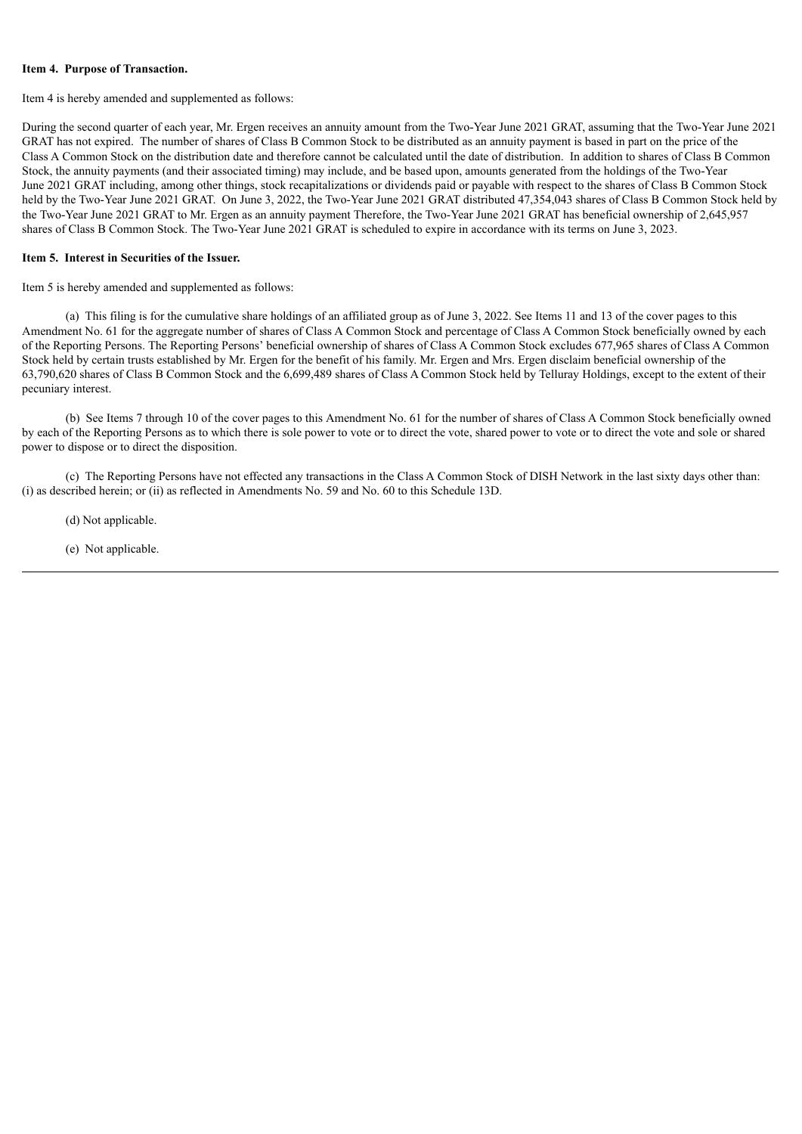#### **Item 4. Purpose of Transaction.**

Item 4 is hereby amended and supplemented as follows:

During the second quarter of each year, Mr. Ergen receives an annuity amount from the Two-Year June 2021 GRAT, assuming that the Two-Year June 2021 GRAT has not expired. The number of shares of Class B Common Stock to be distributed as an annuity payment is based in part on the price of the Class A Common Stock on the distribution date and therefore cannot be calculated until the date of distribution. In addition to shares of Class B Common Stock, the annuity payments (and their associated timing) may include, and be based upon, amounts generated from the holdings of the Two-Year June 2021 GRAT including, among other things, stock recapitalizations or dividends paid or payable with respect to the shares of Class B Common Stock held by the Two-Year June 2021 GRAT. On June 3, 2022, the Two-Year June 2021 GRAT distributed 47,354,043 shares of Class B Common Stock held by the Two-Year June 2021 GRAT to Mr. Ergen as an annuity payment Therefore, the Two-Year June 2021 GRAT has beneficial ownership of 2,645,957 shares of Class B Common Stock. The Two-Year June 2021 GRAT is scheduled to expire in accordance with its terms on June 3, 2023.

#### **Item 5. Interest in Securities of the Issuer.**

Item 5 is hereby amended and supplemented as follows:

(a) This filing is for the cumulative share holdings of an affiliated group as of June 3, 2022. See Items 11 and 13 of the cover pages to this Amendment No. 61 for the aggregate number of shares of Class A Common Stock and percentage of Class A Common Stock beneficially owned by each of the Reporting Persons. The Reporting Persons' beneficial ownership of shares of Class A Common Stock excludes 677,965 shares of Class A Common Stock held by certain trusts established by Mr. Ergen for the benefit of his family. Mr. Ergen and Mrs. Ergen disclaim beneficial ownership of the 63,790,620 shares of Class B Common Stock and the 6,699,489 shares of Class A Common Stock held by Telluray Holdings, except to the extent of their pecuniary interest.

(b) See Items 7 through 10 of the cover pages to this Amendment No. 61 for the number of shares of Class A Common Stock beneficially owned by each of the Reporting Persons as to which there is sole power to vote or to direct the vote, shared power to vote or to direct the vote and sole or shared power to dispose or to direct the disposition.

(c) The Reporting Persons have not effected any transactions in the Class A Common Stock of DISH Network in the last sixty days other than: (i) as described herein; or (ii) as reflected in Amendments No. 59 and No. 60 to this Schedule 13D.

(d) Not applicable.

(e) Not applicable.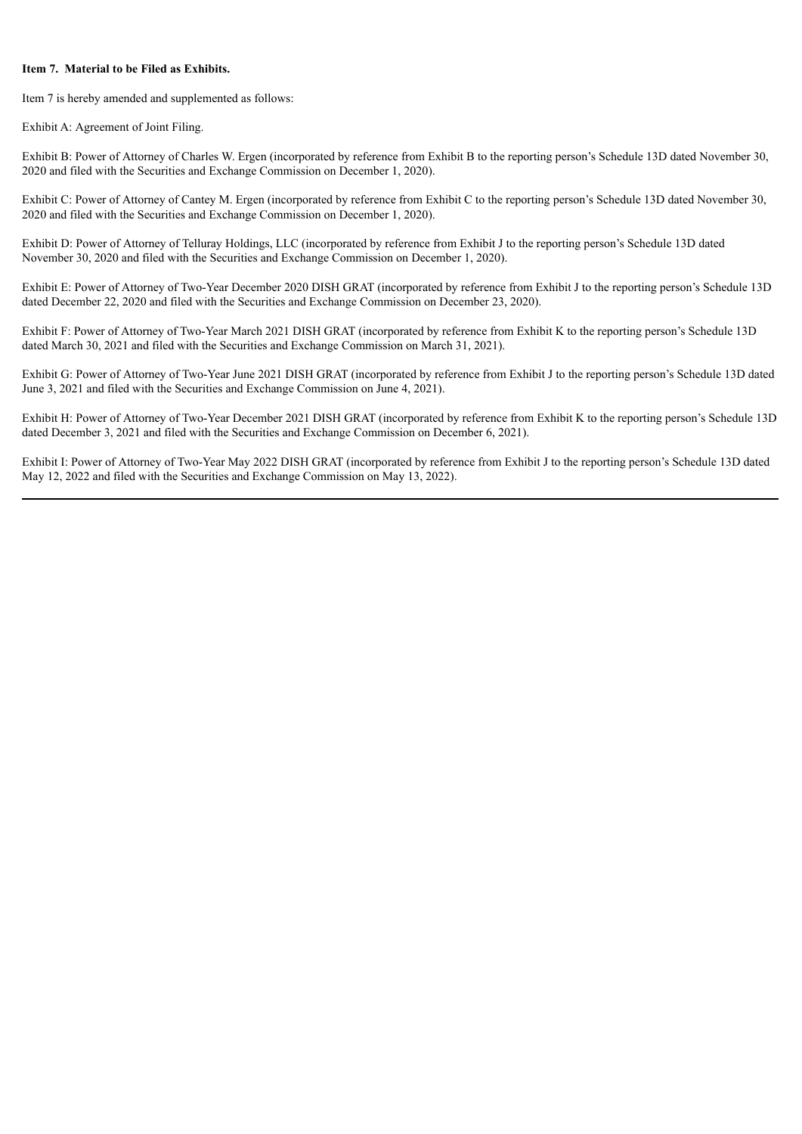## **Item 7. Material to be Filed as Exhibits.**

Item 7 is hereby amended and supplemented as follows:

Exhibit A: Agreement of Joint Filing.

Exhibit B: Power of Attorney of Charles W. Ergen (incorporated by reference from Exhibit B to the reporting person's Schedule 13D dated November 30, 2020 and filed with the Securities and Exchange Commission on December 1, 2020).

Exhibit C: Power of Attorney of Cantey M. Ergen (incorporated by reference from Exhibit C to the reporting person's Schedule 13D dated November 30, 2020 and filed with the Securities and Exchange Commission on December 1, 2020).

Exhibit D: Power of Attorney of Telluray Holdings, LLC (incorporated by reference from Exhibit J to the reporting person's Schedule 13D dated November 30, 2020 and filed with the Securities and Exchange Commission on December 1, 2020).

Exhibit E: Power of Attorney of Two-Year December 2020 DISH GRAT (incorporated by reference from Exhibit J to the reporting person's Schedule 13D dated December 22, 2020 and filed with the Securities and Exchange Commission on December 23, 2020).

Exhibit F: Power of Attorney of Two-Year March 2021 DISH GRAT (incorporated by reference from Exhibit K to the reporting person's Schedule 13D dated March 30, 2021 and filed with the Securities and Exchange Commission on March 31, 2021).

Exhibit G: Power of Attorney of Two-Year June 2021 DISH GRAT (incorporated by reference from Exhibit J to the reporting person's Schedule 13D dated June 3, 2021 and filed with the Securities and Exchange Commission on June 4, 2021).

Exhibit H: Power of Attorney of Two-Year December 2021 DISH GRAT (incorporated by reference from Exhibit K to the reporting person's Schedule 13D dated December 3, 2021 and filed with the Securities and Exchange Commission on December 6, 2021).

Exhibit I: Power of Attorney of Two-Year May 2022 DISH GRAT (incorporated by reference from Exhibit J to the reporting person's Schedule 13D dated May 12, 2022 and filed with the Securities and Exchange Commission on May 13, 2022).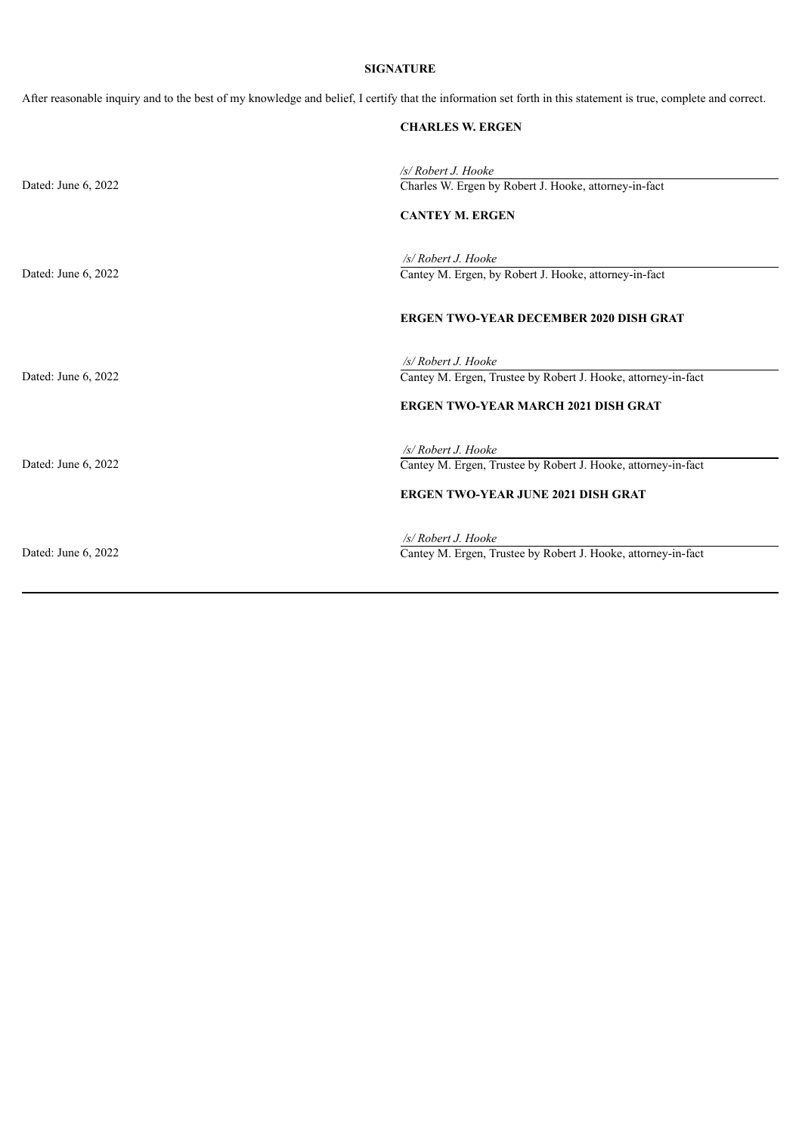## **SIGNATURE**

After reasonable inquiry and to the best of my knowledge and belief, I certify that the information set forth in this statement is true, complete and correct.

|                     | <b>CHARLES W. ERGEN</b>                                                                                                               |
|---------------------|---------------------------------------------------------------------------------------------------------------------------------------|
| Dated: June 6, 2022 | /s/ Robert J. Hooke<br>Charles W. Ergen by Robert J. Hooke, attorney-in-fact<br><b>CANTEY M. ERGEN</b>                                |
| Dated: June 6, 2022 | /s/ Robert J. Hooke<br>Cantey M. Ergen, by Robert J. Hooke, attorney-in-fact                                                          |
| Dated: June 6, 2022 | <b>ERGEN TWO-YEAR DECEMBER 2020 DISH GRAT</b><br>/s/ Robert J. Hooke<br>Cantey M. Ergen, Trustee by Robert J. Hooke, attorney-in-fact |
|                     | <b>ERGEN TWO-YEAR MARCH 2021 DISH GRAT</b><br>/s/ Robert J. Hooke                                                                     |
| Dated: June 6, 2022 | Cantey M. Ergen, Trustee by Robert J. Hooke, attorney-in-fact<br><b>ERGEN TWO-YEAR JUNE 2021 DISH GRAT</b>                            |
| Dated: June 6, 2022 | /s/ Robert J. Hooke<br>Cantey M. Ergen, Trustee by Robert J. Hooke, attorney-in-fact                                                  |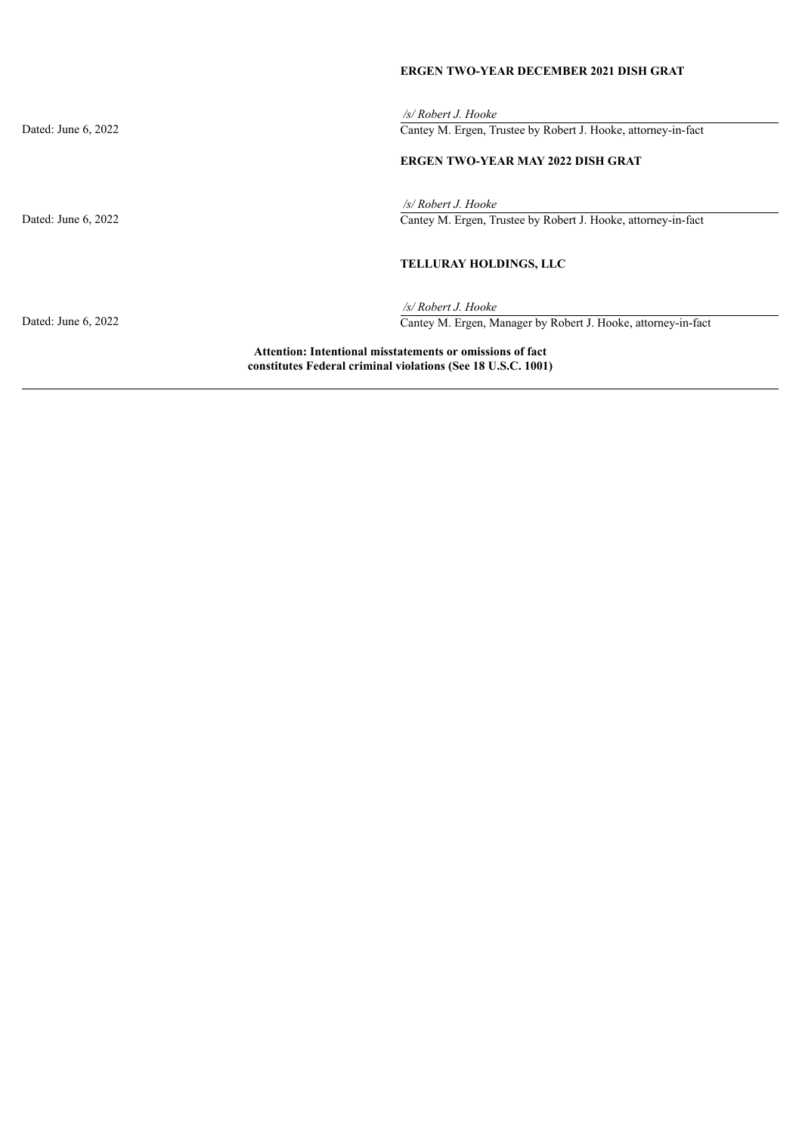# **ERGEN TWO-YEAR DECEMBER 2021 DISH GRAT**

*/s/ Robert J. Hooke* Dated: June 6, 2022 Cantey M. Ergen, Trustee by Robert J. Hooke, attorney-in-fact **ERGEN TWO-YEAR MAY 2022 DISH GRAT** */s/ Robert J. Hooke* Dated: June 6, 2022 Cantey M. Ergen, Trustee by Robert J. Hooke, attorney-in-fact **TELLURAY HOLDINGS, LLC** */s/ Robert J. Hooke* Dated: June 6, 2022 Cantey M. Ergen, Manager by Robert J. Hooke, attorney-in-fact **Attention: Intentional misstatements or omissions of fact constitutes Federal criminal violations (See 18 U.S.C. 1001)**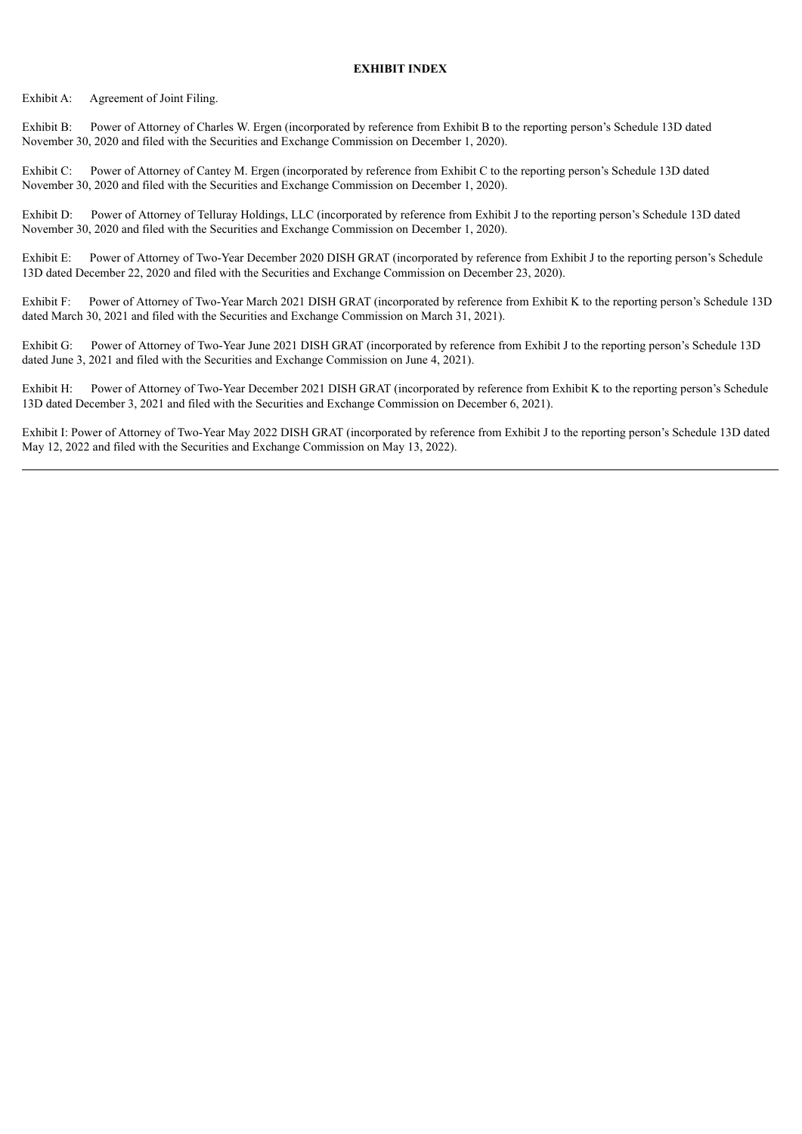#### **EXHIBIT INDEX**

Exhibit A: Agreement of Joint Filing.

Exhibit B: Power of Attorney of Charles W. Ergen (incorporated by reference from Exhibit B to the reporting person's Schedule 13D dated November 30, 2020 and filed with the Securities and Exchange Commission on December 1, 2020).

Exhibit C: Power of Attorney of Cantey M. Ergen (incorporated by reference from Exhibit C to the reporting person's Schedule 13D dated November 30, 2020 and filed with the Securities and Exchange Commission on December 1, 2020).

Exhibit D: Power of Attorney of Telluray Holdings, LLC (incorporated by reference from Exhibit J to the reporting person's Schedule 13D dated November 30, 2020 and filed with the Securities and Exchange Commission on December 1, 2020).

Exhibit E: Power of Attorney of Two-Year December 2020 DISH GRAT (incorporated by reference from Exhibit J to the reporting person's Schedule 13D dated December 22, 2020 and filed with the Securities and Exchange Commission on December 23, 2020).

Exhibit F: Power of Attorney of Two-Year March 2021 DISH GRAT (incorporated by reference from Exhibit K to the reporting person's Schedule 13D dated March 30, 2021 and filed with the Securities and Exchange Commission on March 31, 2021).

Exhibit G: Power of Attorney of Two-Year June 2021 DISH GRAT (incorporated by reference from Exhibit J to the reporting person's Schedule 13D dated June 3, 2021 and filed with the Securities and Exchange Commission on June 4, 2021).

Exhibit H: Power of Attorney of Two-Year December 2021 DISH GRAT (incorporated by reference from Exhibit K to the reporting person's Schedule 13D dated December 3, 2021 and filed with the Securities and Exchange Commission on December 6, 2021).

Exhibit I: Power of Attorney of Two-Year May 2022 DISH GRAT (incorporated by reference from Exhibit J to the reporting person's Schedule 13D dated May 12, 2022 and filed with the Securities and Exchange Commission on May 13, 2022).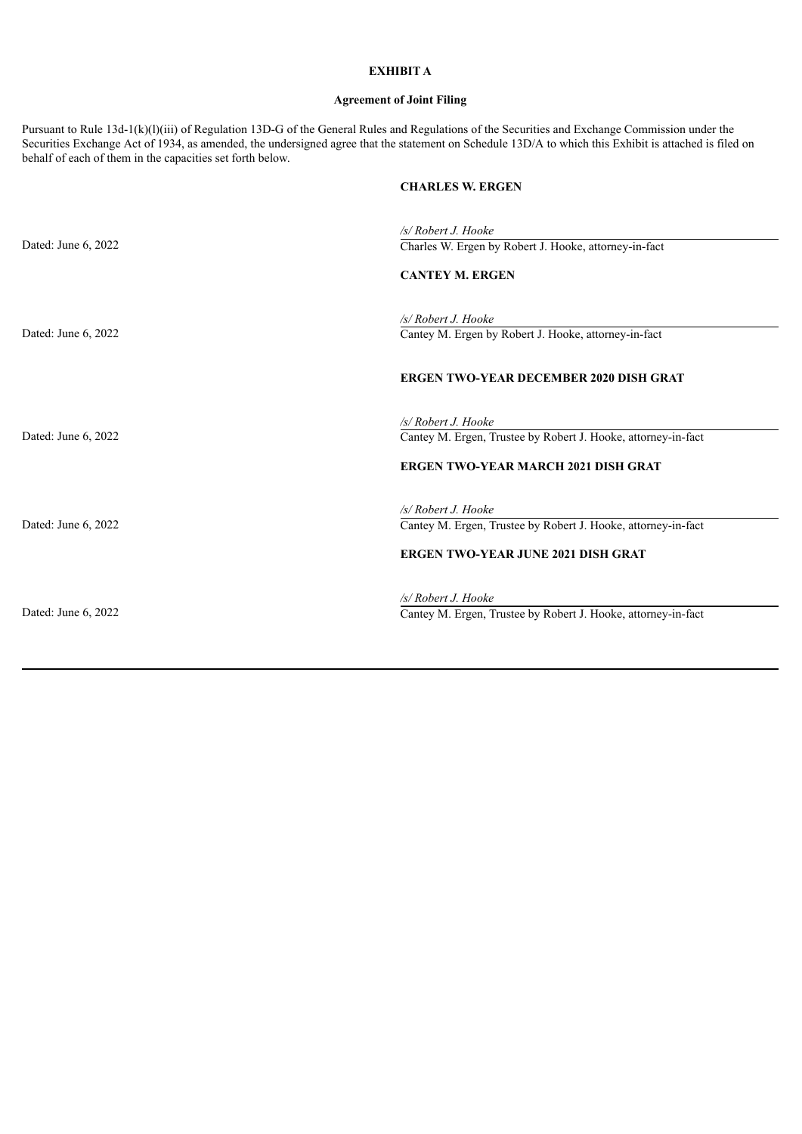# **EXHIBIT A**

# **Agreement of Joint Filing**

Pursuant to Rule 13d-1(k)(l)(iii) of Regulation 13D-G of the General Rules and Regulations of the Securities and Exchange Commission under the Securities Exchange Act of 1934, as amended, the undersigned agree that the statement on Schedule 13D/A to which this Exhibit is attached is filed on behalf of each of them in the capacities set forth below.

# **CHARLES W. ERGEN**

|                     | /s/ Robert J. Hooke                                                         |
|---------------------|-----------------------------------------------------------------------------|
| Dated: June 6, 2022 | Charles W. Ergen by Robert J. Hooke, attorney-in-fact                       |
|                     | <b>CANTEY M. ERGEN</b>                                                      |
| Dated: June 6, 2022 | /s/ Robert J. Hooke<br>Cantey M. Ergen by Robert J. Hooke, attorney-in-fact |
|                     |                                                                             |
|                     | <b>ERGEN TWO-YEAR DECEMBER 2020 DISH GRAT</b>                               |
|                     | /s/ Robert J. Hooke                                                         |
| Dated: June 6, 2022 | Cantey M. Ergen, Trustee by Robert J. Hooke, attorney-in-fact               |
|                     | <b>ERGEN TWO-YEAR MARCH 2021 DISH GRAT</b>                                  |
|                     | /s/ Robert J. Hooke                                                         |
| Dated: June 6, 2022 | Cantey M. Ergen, Trustee by Robert J. Hooke, attorney-in-fact               |
|                     | <b>ERGEN TWO-YEAR JUNE 2021 DISH GRAT</b>                                   |
|                     | /s/ Robert J. Hooke                                                         |
| Dated: June 6, 2022 | Cantey M. Ergen, Trustee by Robert J. Hooke, attorney-in-fact               |